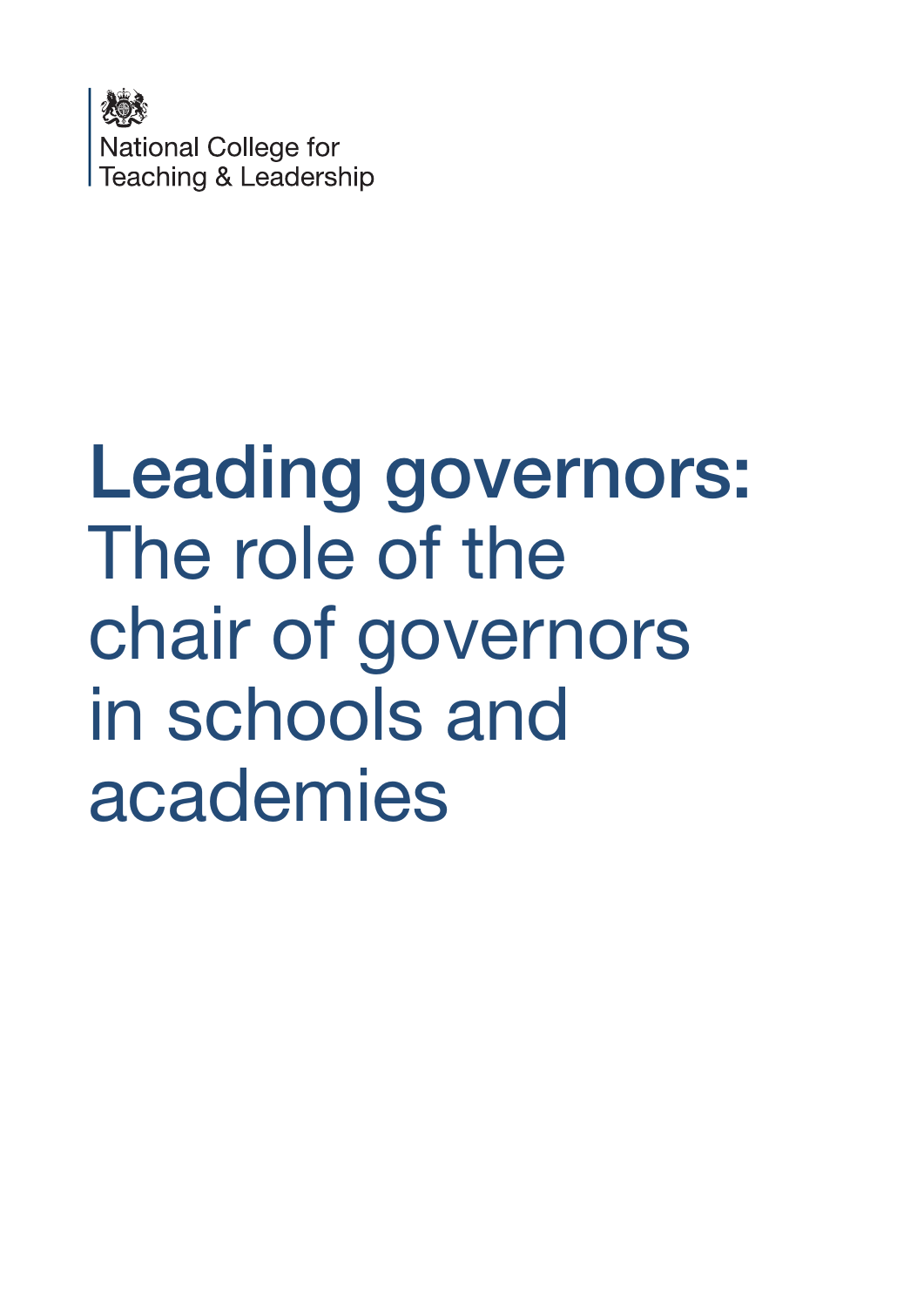

# Leading governors: The role of the chair of governors in schools and academies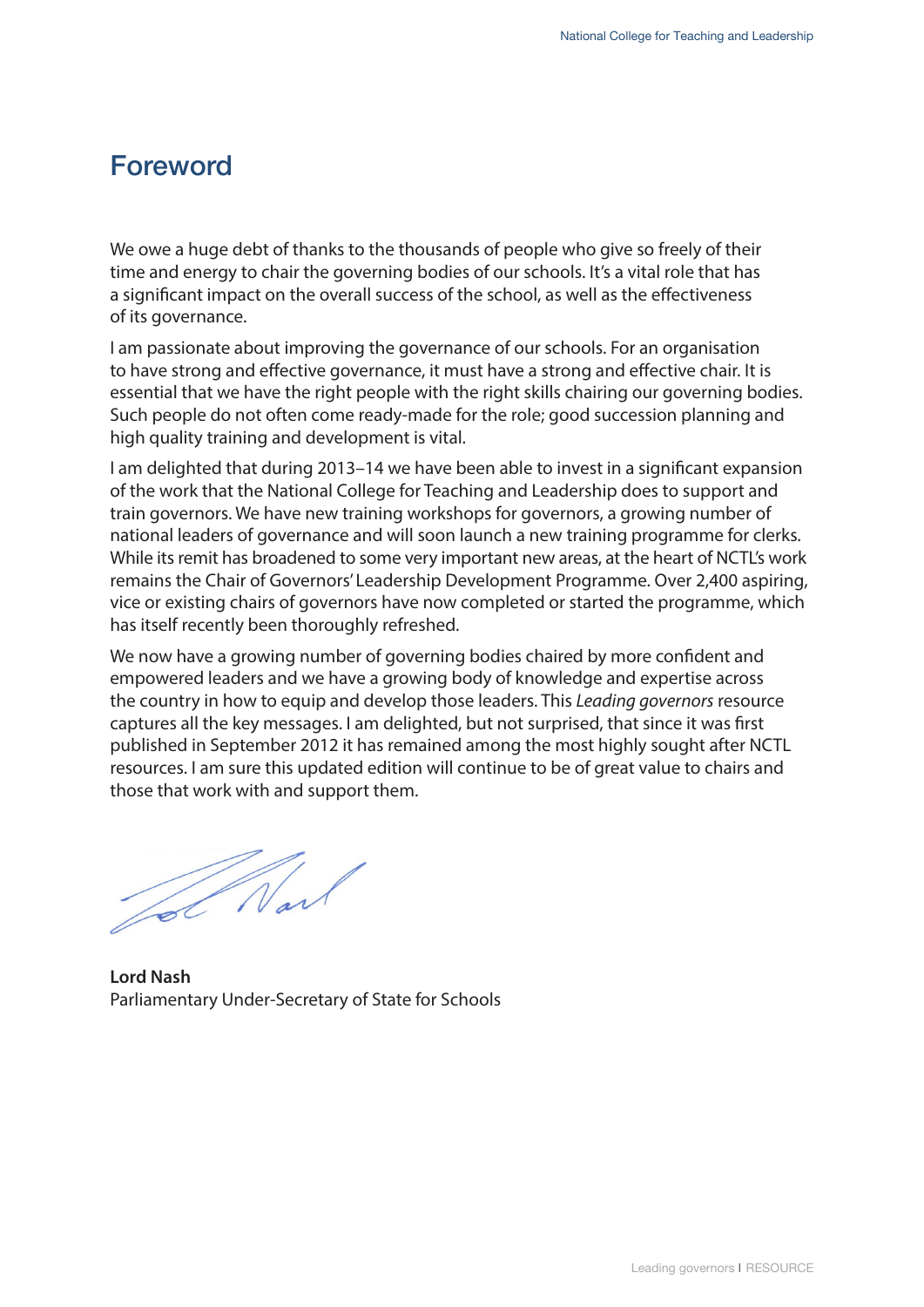# Foreword

We owe a huge debt of thanks to the thousands of people who give so freely of their time and energy to chair the governing bodies of our schools. It's a vital role that has a significant impact on the overall success of the school, as well as the effectiveness of its governance.

I am passionate about improving the governance of our schools. For an organisation to have strong and effective governance, it must have a strong and effective chair. It is essential that we have the right people with the right skills chairing our governing bodies. Such people do not often come ready-made for the role; good succession planning and high quality training and development is vital.

I am delighted that during 2013–14 we have been able to invest in a significant expansion of the work that the National College for Teaching and Leadership does to support and train governors. We have new training workshops for governors, a growing number of national leaders of governance and will soon launch a new training programme for clerks. While its remit has broadened to some very important new areas, at the heart of NCTL's work remains the Chair of Governors' Leadership Development Programme. Over 2,400 aspiring, vice or existing chairs of governors have now completed or started the programme, which has itself recently been thoroughly refreshed.

We now have a growing number of governing bodies chaired by more confident and empowered leaders and we have a growing body of knowledge and expertise across the country in how to equip and develop those leaders. This *Leading governors* resource captures all the key messages. I am delighted, but not surprised, that since it was first published in September 2012 it has remained among the most highly sought after NCTL resources. I am sure this updated edition will continue to be of great value to chairs and those that work with and support them.

Tot Nard

**Lord Nash** Parliamentary Under-Secretary of State for Schools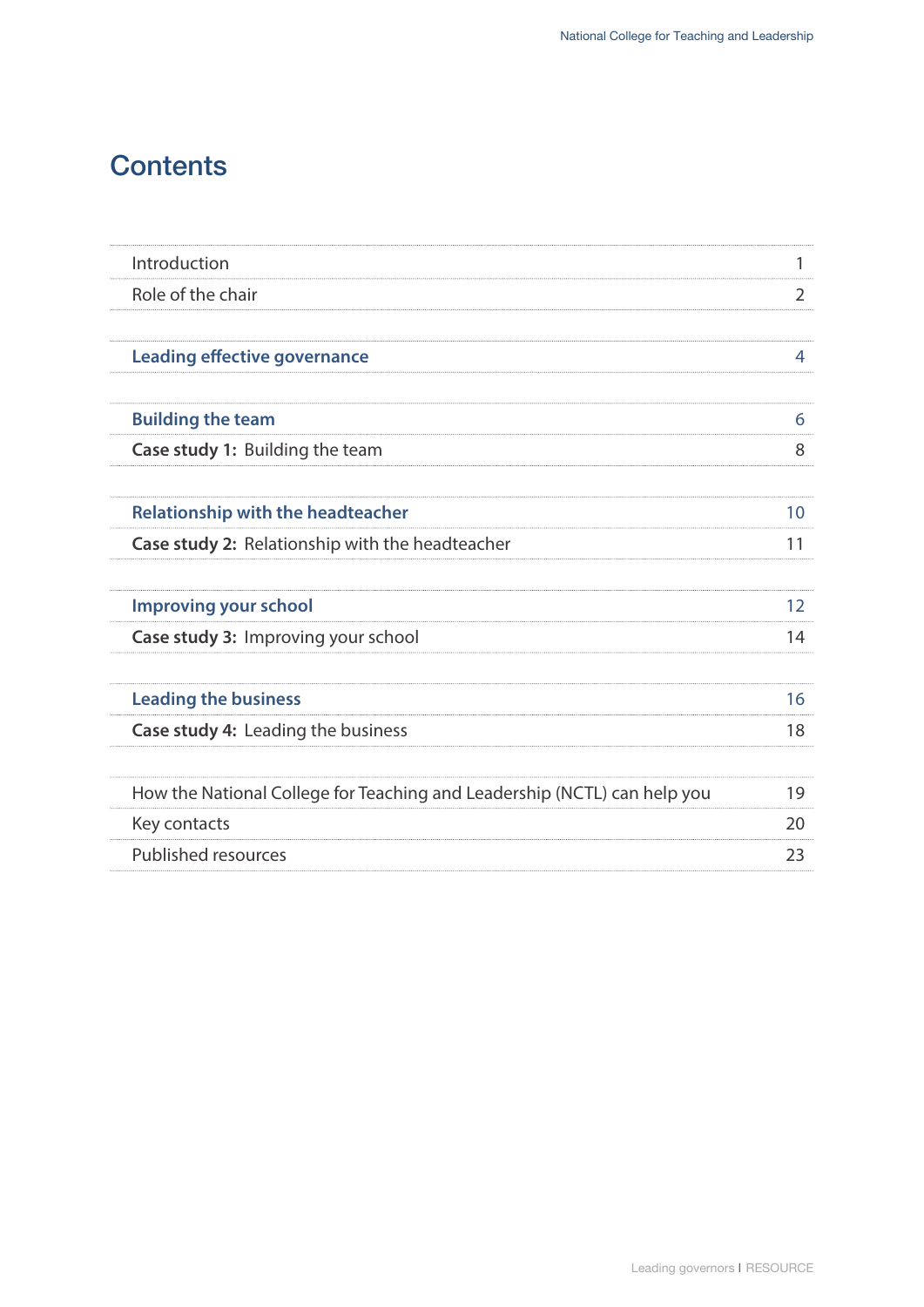# **Contents**

| Introduction                                                             |    |
|--------------------------------------------------------------------------|----|
| Role of the chair                                                        | 2  |
|                                                                          |    |
| <b>Leading effective governance</b>                                      | 4  |
|                                                                          |    |
| <b>Building the team</b>                                                 | 6  |
| <b>Case study 1: Building the team</b>                                   | 8  |
|                                                                          |    |
| <b>Relationship with the headteacher</b>                                 | 10 |
| Case study 2: Relationship with the headteacher                          | 11 |
|                                                                          |    |
| <b>Improving your school</b>                                             | 12 |
| Case study 3: Improving your school                                      | 14 |
|                                                                          |    |
| <b>Leading the business</b>                                              | 16 |
| Case study 4: Leading the business                                       | 18 |
|                                                                          |    |
| How the National College for Teaching and Leadership (NCTL) can help you | 19 |
| Key contacts                                                             | 20 |
| <b>Published resources</b>                                               | 23 |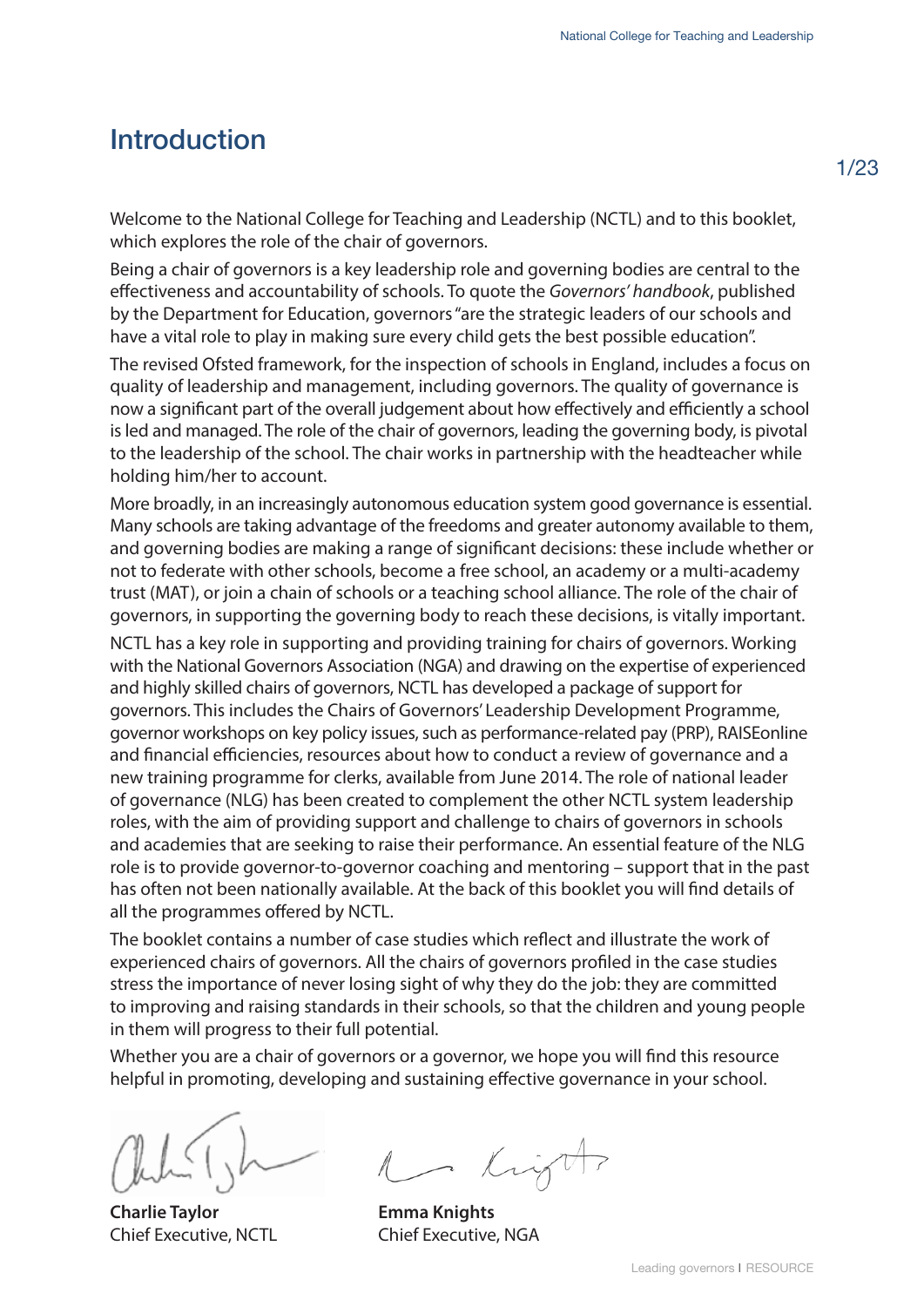#### <span id="page-3-0"></span>Introduction

Welcome to the National College for Teaching and Leadership (NCTL) and to this booklet, which explores the role of the chair of governors.

Being a chair of governors is a key leadership role and governing bodies are central to the effectiveness and accountability of schools. To quote the *Governors' handbook*, published by the Department for Education, governors "are the strategic leaders of our schools and have a vital role to play in making sure every child gets the best possible education".

The revised Ofsted framework, for the inspection of schools in England, includes a focus on quality of leadership and management, including governors. The quality of governance is now a significant part of the overall judgement about how effectively and efficiently a school is led and managed. The role of the chair of governors, leading the governing body, is pivotal to the leadership of the school. The chair works in partnership with the headteacher while holding him/her to account.

More broadly, in an increasingly autonomous education system good governance is essential. Many schools are taking advantage of the freedoms and greater autonomy available to them, and governing bodies are making a range of significant decisions: these include whether or not to federate with other schools, become a free school, an academy or a multi-academy trust (MAT), or join a chain of schools or a teaching school alliance. The role of the chair of governors, in supporting the governing body to reach these decisions, is vitally important.

NCTL has a key role in supporting and providing training for chairs of governors. Working with the National Governors Association (NGA) and drawing on the expertise of experienced and highly skilled chairs of governors, NCTL has developed a package of support for governors. This includes the Chairs of Governors' Leadership Development Programme, governor workshops on key policy issues, such as performance-related pay (PRP), RAISEonline and financial efficiencies, resources about how to conduct a review of governance and a new training programme for clerks, available from June 2014. The role of national leader of governance (NLG) has been created to complement the other NCTL system leadership roles, with the aim of providing support and challenge to chairs of governors in schools and academies that are seeking to raise their performance. An essential feature of the NLG role is to provide governor-to-governor coaching and mentoring – support that in the past has often not been nationally available. At the back of this booklet you will find details of all the programmes offered by NCTL.

The booklet contains a number of case studies which reflect and illustrate the work of experienced chairs of governors. All the chairs of governors profiled in the case studies stress the importance of never losing sight of why they do the job: they are committed to improving and raising standards in their schools, so that the children and young people in them will progress to their full potential.

Whether you are a chair of governors or a governor, we hope you will find this resource helpful in promoting, developing and sustaining effective governance in your school.

**Charlie Taylor** Chief Executive, NCTL

1 Kight

**Emma Knights** Chief Executive, NGA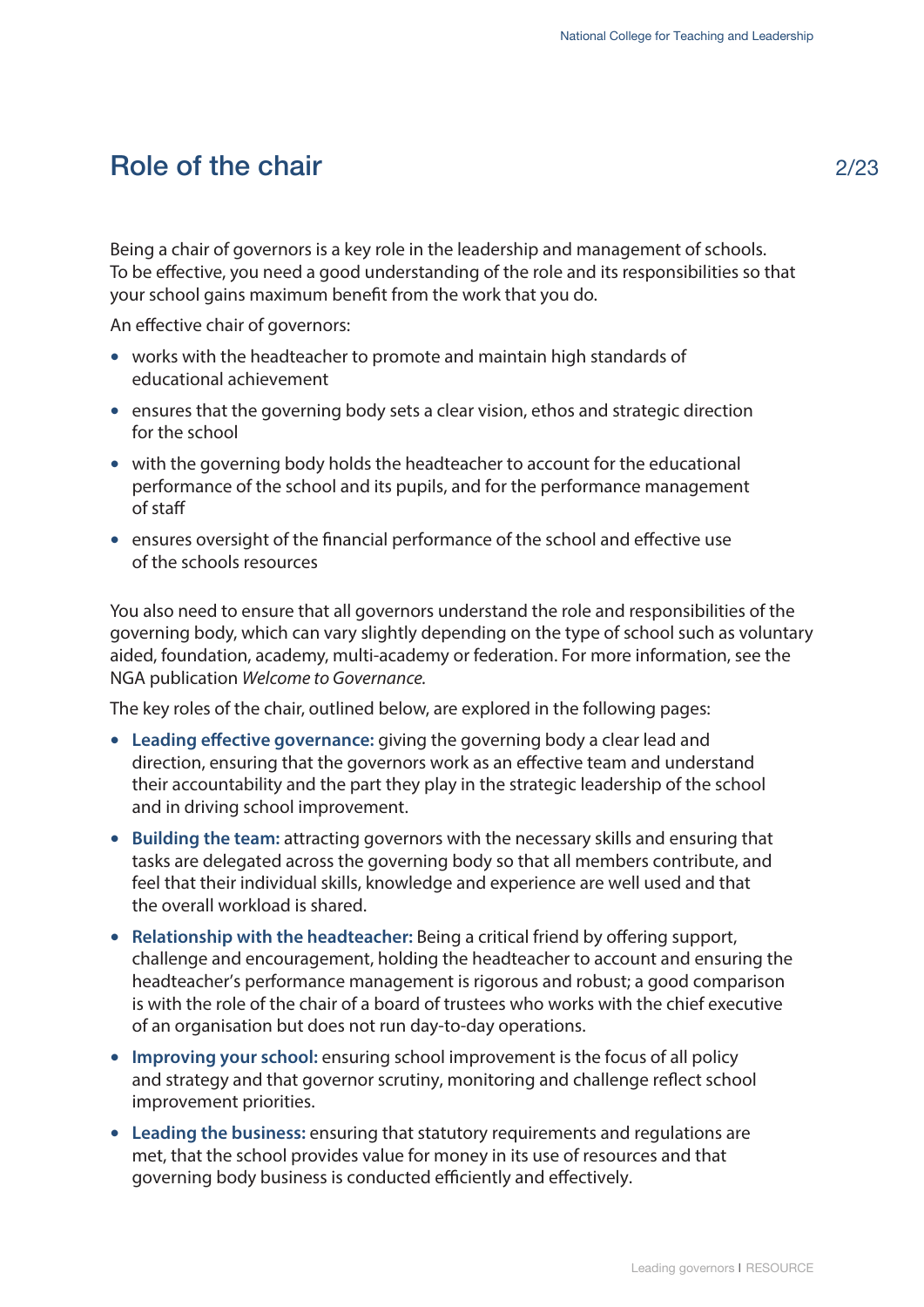#### <span id="page-4-0"></span>Role of the chair

Being a chair of governors is a key role in the leadership and management of schools. To be effective, you need a good understanding of the role and its responsibilities so that your school gains maximum benefit from the work that you do.

An effective chair of governors:

- works with the headteacher to promote and maintain high standards of educational achievement
- ensures that the governing body sets a clear vision, ethos and strategic direction for the school
- with the governing body holds the headteacher to account for the educational performance of the school and its pupils, and for the performance management of staff
- ensures oversight of the financial performance of the school and effective use of the schools resources

You also need to ensure that all governors understand the role and responsibilities of the governing body, which can vary slightly depending on the type of school such as voluntary aided, foundation, academy, multi-academy or federation. For more information, see the NGA publication *Welcome to Governance.*

The key roles of the chair, outlined below, are explored in the following pages:

- **Leading effective governance:** giving the governing body a clear lead and direction, ensuring that the governors work as an effective team and understand their accountability and the part they play in the strategic leadership of the school and in driving school improvement.
- **Building the team:** attracting governors with the necessary skills and ensuring that tasks are delegated across the governing body so that all members contribute, and feel that their individual skills, knowledge and experience are well used and that the overall workload is shared.
- **Relationship with the headteacher:** Being a critical friend by offering support, challenge and encouragement, holding the headteacher to account and ensuring the headteacher's performance management is rigorous and robust; a good comparison is with the role of the chair of a board of trustees who works with the chief executive of an organisation but does not run day-to-day operations.
- **Improving your school:** ensuring school improvement is the focus of all policy and strategy and that governor scrutiny, monitoring and challenge reflect school improvement priorities.
- **Leading the business:** ensuring that statutory requirements and regulations are met, that the school provides value for money in its use of resources and that governing body business is conducted efficiently and effectively.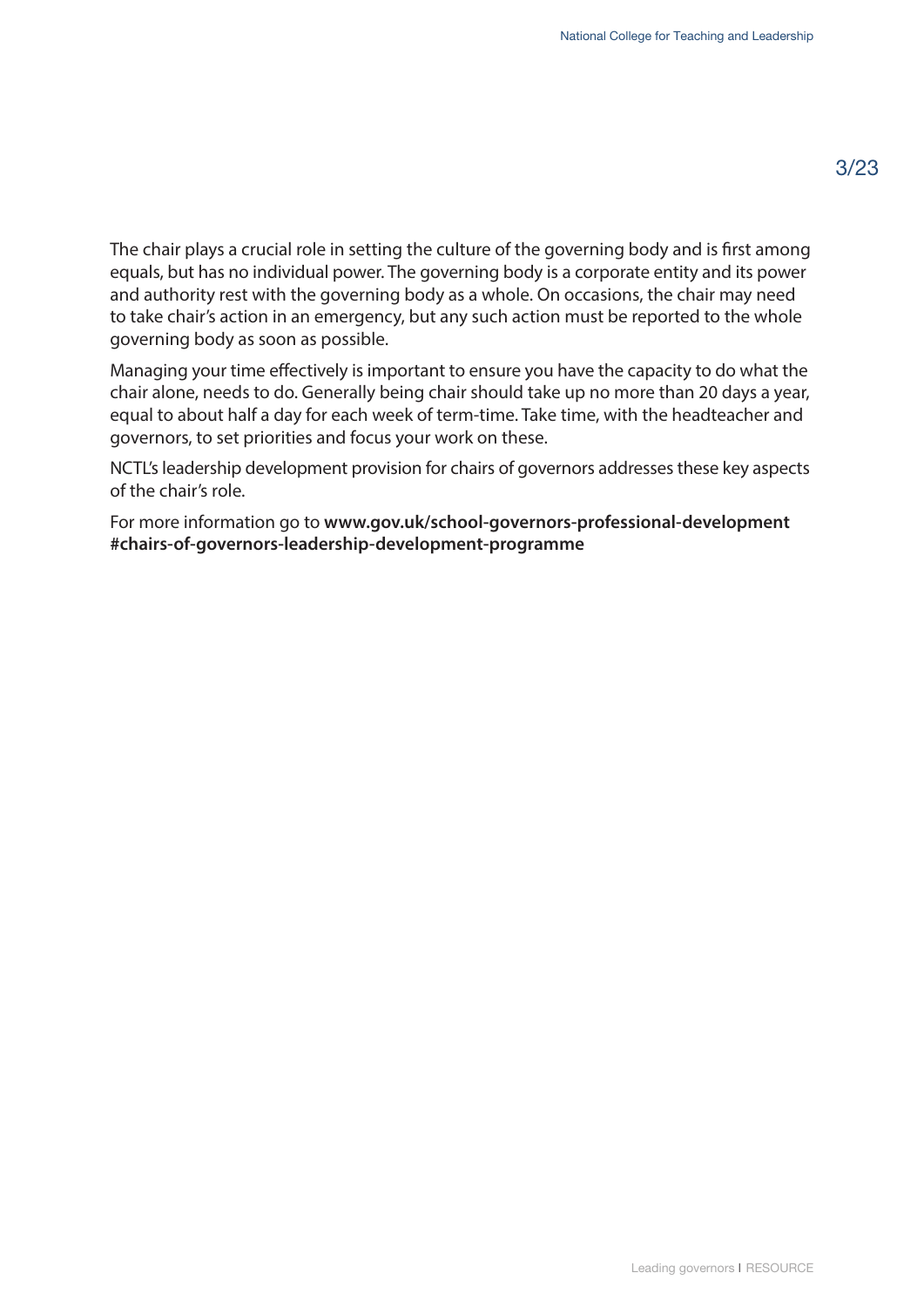The chair plays a crucial role in setting the culture of the governing body and is first among equals, but has no individual power. The governing body is a corporate entity and its power and authority rest with the governing body as a whole. On occasions, the chair may need to take chair's action in an emergency, but any such action must be reported to the whole governing body as soon as possible.

Managing your time effectively is important to ensure you have the capacity to do what the chair alone, needs to do. Generally being chair should take up no more than 20 days a year, equal to about half a day for each week of term-time. Take time, with the headteacher and governors, to set priorities and focus your work on these.

NCTL's leadership development provision for chairs of governors addresses these key aspects of the chair's role.

For more information go to **www.gov.uk/school-governors-professional-development [#chairs-of-governors-leadership-development-programme](www.gov.uk/school-governors-professional-development #chairs-of-governors-leadership-development-programme)**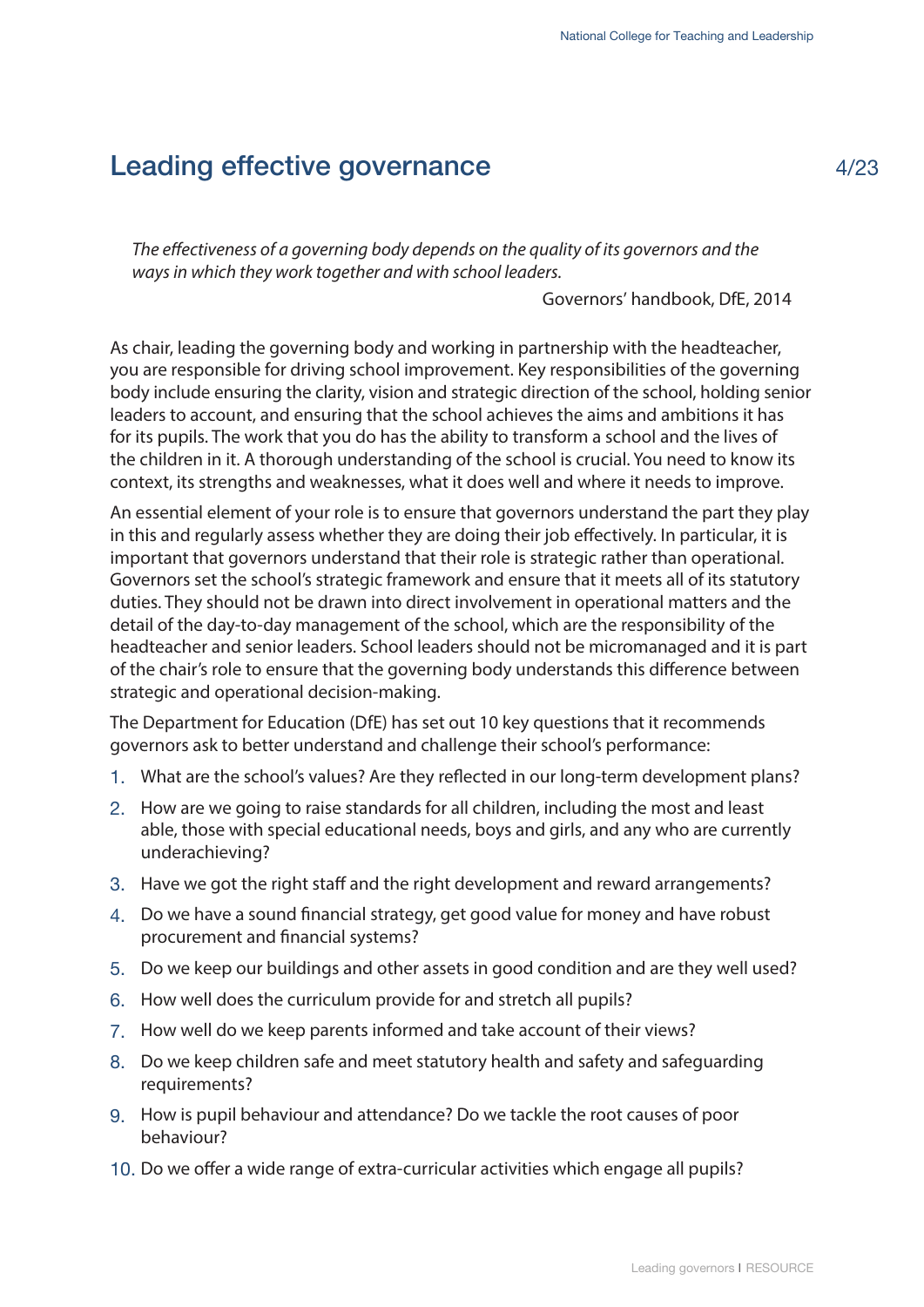# <span id="page-6-0"></span>Leading effective governance

*The effectiveness of a governing body depends on the quality of its governors and the ways in which they work together and with school leaders.* 

Governors' handbook, DfE, 2014

As chair, leading the governing body and working in partnership with the headteacher, you are responsible for driving school improvement. Key responsibilities of the governing body include ensuring the clarity, vision and strategic direction of the school, holding senior leaders to account, and ensuring that the school achieves the aims and ambitions it has for its pupils. The work that you do has the ability to transform a school and the lives of the children in it. A thorough understanding of the school is crucial. You need to know its context, its strengths and weaknesses, what it does well and where it needs to improve.

An essential element of your role is to ensure that governors understand the part they play in this and regularly assess whether they are doing their job effectively. In particular, it is important that governors understand that their role is strategic rather than operational. Governors set the school's strategic framework and ensure that it meets all of its statutory duties. They should not be drawn into direct involvement in operational matters and the detail of the day-to-day management of the school, which are the responsibility of the headteacher and senior leaders. School leaders should not be micromanaged and it is part of the chair's role to ensure that the governing body understands this difference between strategic and operational decision-making.

The Department for Education (DfE) has set out 10 key questions that it recommends governors ask to better understand and challenge their school's performance:

- 1. What are the school's values? Are they reflected in our long-term development plans?
- 2. How are we going to raise standards for all children, including the most and least able, those with special educational needs, boys and girls, and any who are currently underachieving?
- 3. Have we got the right staff and the right development and reward arrangements?
- 4. Do we have a sound financial strategy, get good value for money and have robust procurement and financial systems?
- 5. Do we keep our buildings and other assets in good condition and are they well used?
- 6. How well does the curriculum provide for and stretch all pupils?
- 7. How well do we keep parents informed and take account of their views?
- 8. Do we keep children safe and meet statutory health and safety and safeguarding requirements?
- 9. How is pupil behaviour and attendance? Do we tackle the root causes of poor behaviour?
- 10. Do we offer a wide range of extra-curricular activities which engage all pupils?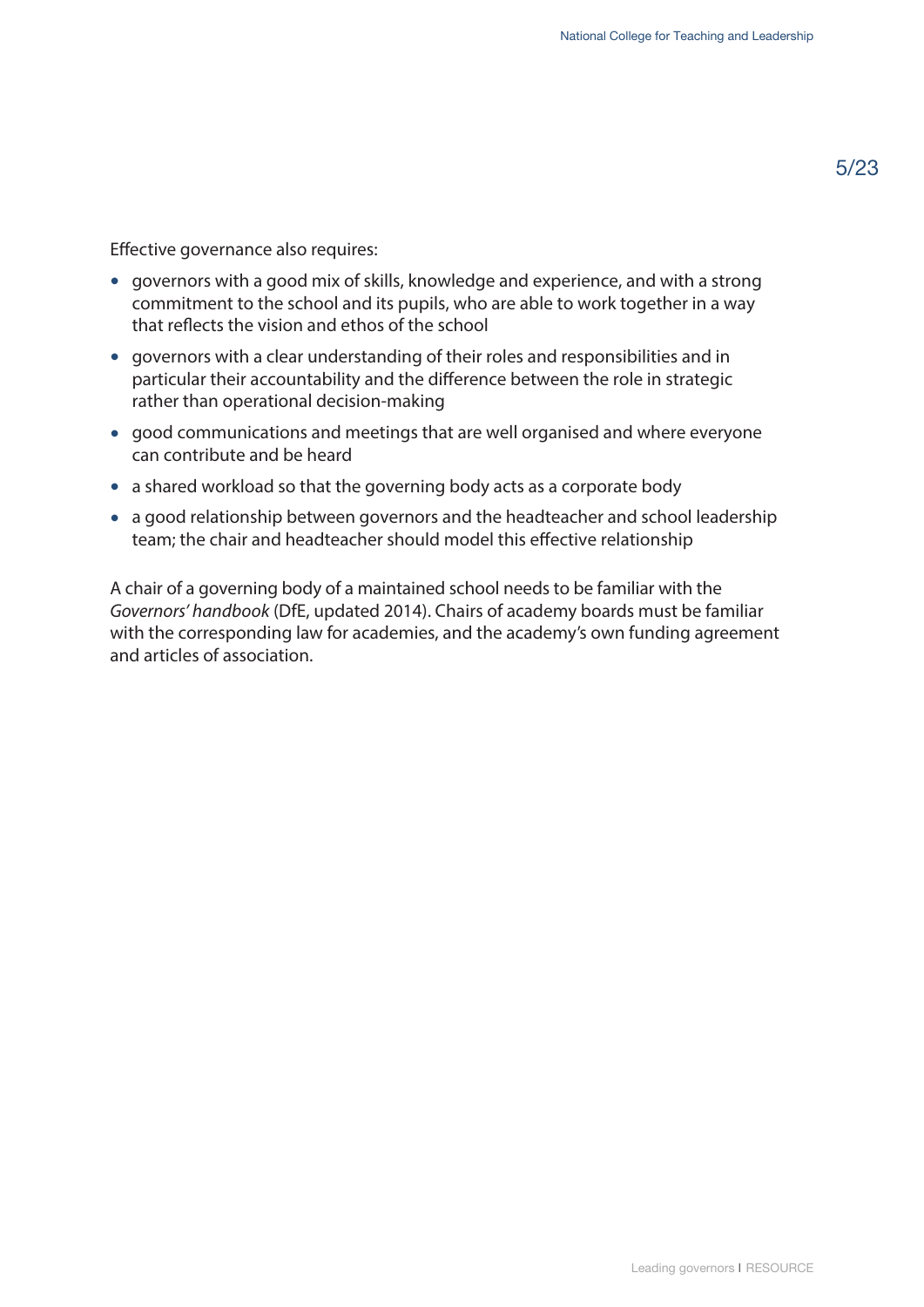Effective governance also requires:

- governors with a good mix of skills, knowledge and experience, and with a strong commitment to the school and its pupils, who are able to work together in a way that reflects the vision and ethos of the school
- governors with a clear understanding of their roles and responsibilities and in particular their accountability and the difference between the role in strategic rather than operational decision-making
- good communications and meetings that are well organised and where everyone can contribute and be heard
- a shared workload so that the governing body acts as a corporate body
- a good relationship between governors and the headteacher and school leadership team; the chair and headteacher should model this effective relationship

A chair of a governing body of a maintained school needs to be familiar with the *Governors' handbook* (DfE, updated 2014). Chairs of academy boards must be familiar with the corresponding law for academies, and the academy's own funding agreement and articles of association.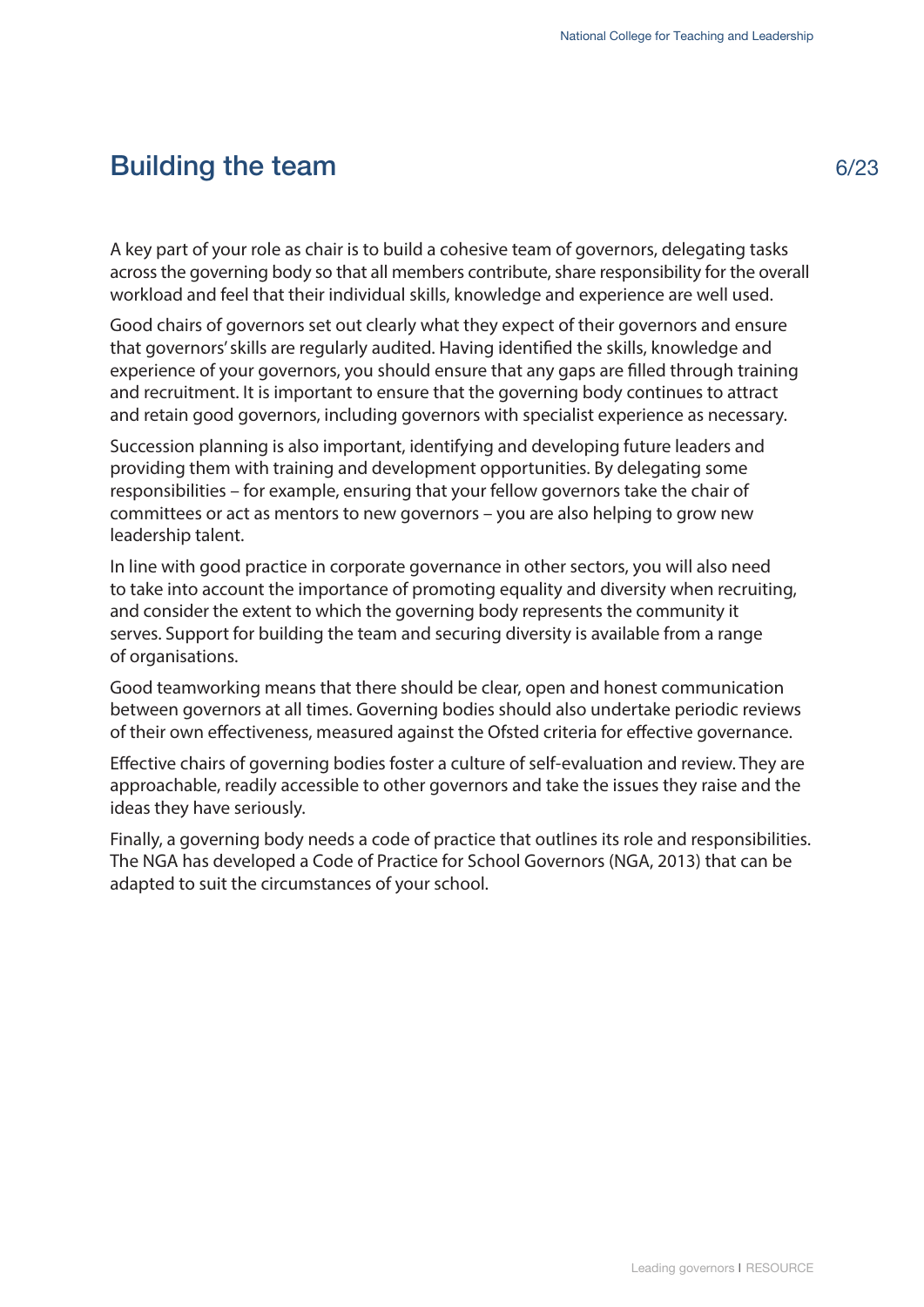# <span id="page-8-0"></span>Building the team

A key part of your role as chair is to build a cohesive team of governors, delegating tasks across the governing body so that all members contribute, share responsibility for the overall workload and feel that their individual skills, knowledge and experience are well used.

Good chairs of governors set out clearly what they expect of their governors and ensure that governors' skills are regularly audited. Having identified the skills, knowledge and experience of your governors, you should ensure that any gaps are filled through training and recruitment. It is important to ensure that the governing body continues to attract and retain good governors, including governors with specialist experience as necessary.

Succession planning is also important, identifying and developing future leaders and providing them with training and development opportunities. By delegating some responsibilities – for example, ensuring that your fellow governors take the chair of committees or act as mentors to new governors – you are also helping to grow new leadership talent.

In line with good practice in corporate governance in other sectors, you will also need to take into account the importance of promoting equality and diversity when recruiting, and consider the extent to which the governing body represents the community it serves. Support for building the team and securing diversity is available from a range of organisations.

Good teamworking means that there should be clear, open and honest communication between governors at all times. Governing bodies should also undertake periodic reviews of their own effectiveness, measured against the Ofsted criteria for effective governance.

Effective chairs of governing bodies foster a culture of self-evaluation and review. They are approachable, readily accessible to other governors and take the issues they raise and the ideas they have seriously.

Finally, a governing body needs a code of practice that outlines its role and responsibilities. The NGA has developed a Code of Practice for School Governors (NGA, 2013) that can be adapted to suit the circumstances of your school.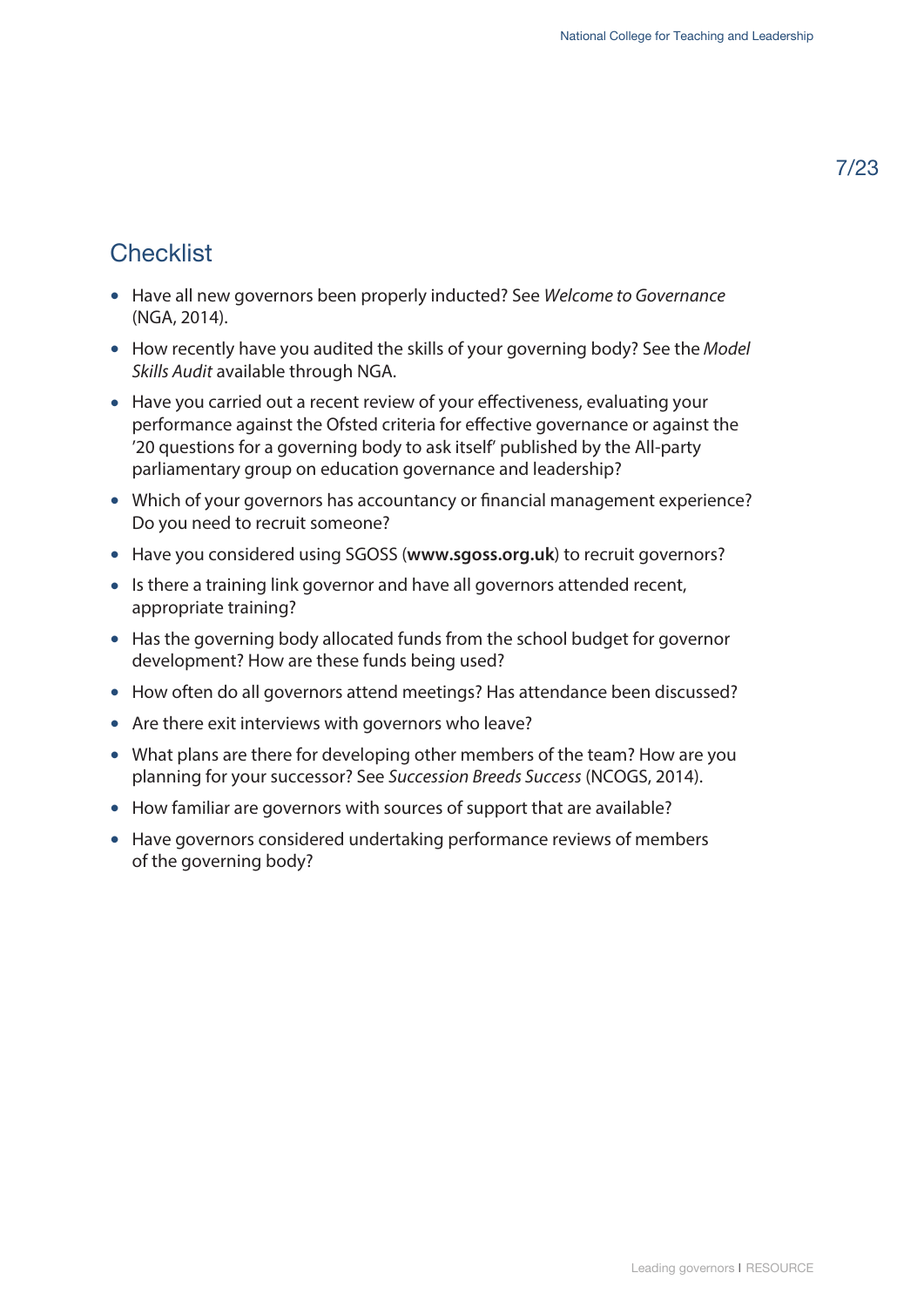# **Checklist**

- Have all new governors been properly inducted? See *Welcome to Governance* (NGA, 2014).
- How recently have you audited the skills of your governing body? See the *Model Skills Audit* available through NGA.
- Have you carried out a recent review of your effectiveness, evaluating your performance against the Ofsted criteria for effective governance or against the '20 questions for a governing body to ask itself' published by the All-party parliamentary group on education governance and leadership?
- Which of your governors has accountancy or financial management experience? Do you need to recruit someone?
- Have you considered using SGOSS (**<www.sgoss.org.uk>**) to recruit governors?
- Is there a training link governor and have all governors attended recent, appropriate training?
- Has the governing body allocated funds from the school budget for governor development? How are these funds being used?
- How often do all governors attend meetings? Has attendance been discussed?
- Are there exit interviews with governors who leave?
- What plans are there for developing other members of the team? How are you planning for your successor? See *Succession Breeds Success* (NCOGS, 2014).
- How familiar are governors with sources of support that are available?
- Have governors considered undertaking performance reviews of members of the governing body?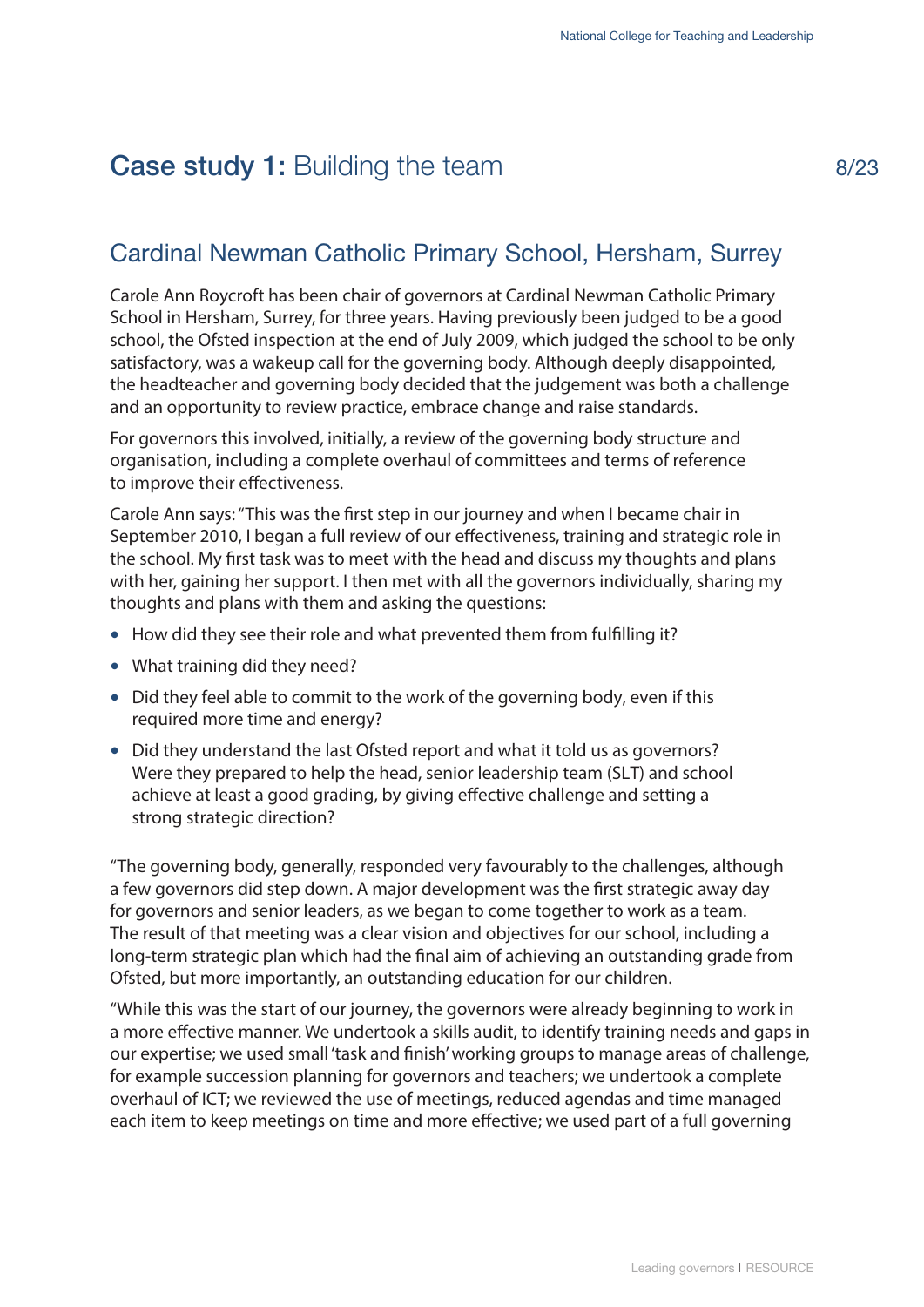# <span id="page-10-0"></span>Case study 1: Building the team

#### Cardinal Newman Catholic Primary School, Hersham, Surrey

Carole Ann Roycroft has been chair of governors at Cardinal Newman Catholic Primary School in Hersham, Surrey, for three years. Having previously been judged to be a good school, the Ofsted inspection at the end of July 2009, which judged the school to be only satisfactory, was a wakeup call for the governing body. Although deeply disappointed, the headteacher and governing body decided that the judgement was both a challenge and an opportunity to review practice, embrace change and raise standards.

For governors this involved, initially, a review of the governing body structure and organisation, including a complete overhaul of committees and terms of reference to improve their effectiveness.

Carole Ann says: "This was the first step in our journey and when I became chair in September 2010, I began a full review of our effectiveness, training and strategic role in the school. My first task was to meet with the head and discuss my thoughts and plans with her, gaining her support. I then met with all the governors individually, sharing my thoughts and plans with them and asking the questions:

- How did they see their role and what prevented them from fulfilling it?
- What training did they need?
- Did they feel able to commit to the work of the governing body, even if this required more time and energy?
- Did they understand the last Ofsted report and what it told us as governors? Were they prepared to help the head, senior leadership team (SLT) and school achieve at least a good grading, by giving effective challenge and setting a strong strategic direction?

"The governing body, generally, responded very favourably to the challenges, although a few governors did step down. A major development was the first strategic away day for governors and senior leaders, as we began to come together to work as a team. The result of that meeting was a clear vision and objectives for our school, including a long-term strategic plan which had the final aim of achieving an outstanding grade from Ofsted, but more importantly, an outstanding education for our children.

"While this was the start of our journey, the governors were already beginning to work in a more effective manner. We undertook a skills audit, to identify training needs and gaps in our expertise; we used small 'task and finish' working groups to manage areas of challenge, for example succession planning for governors and teachers; we undertook a complete overhaul of ICT; we reviewed the use of meetings, reduced agendas and time managed each item to keep meetings on time and more effective; we used part of a full governing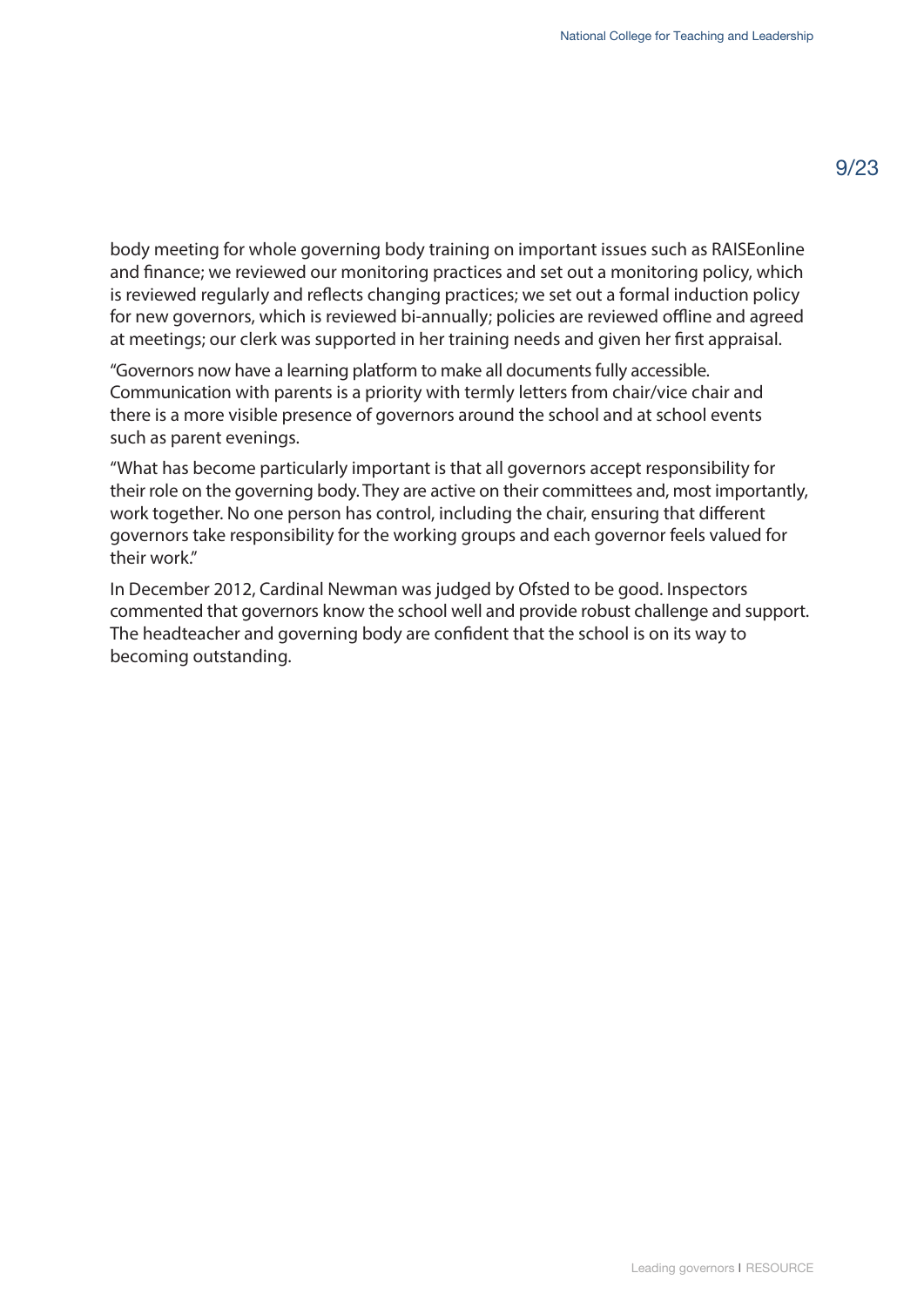body meeting for whole governing body training on important issues such as RAISEonline and finance; we reviewed our monitoring practices and set out a monitoring policy, which is reviewed regularly and reflects changing practices; we set out a formal induction policy for new governors, which is reviewed bi-annually; policies are reviewed offline and agreed at meetings; our clerk was supported in her training needs and given her first appraisal.

"Governors now have a learning platform to make all documents fully accessible. Communication with parents is a priority with termly letters from chair/vice chair and there is a more visible presence of governors around the school and at school events such as parent evenings.

"What has become particularly important is that all governors accept responsibility for their role on the governing body. They are active on their committees and, most importantly, work together. No one person has control, including the chair, ensuring that different governors take responsibility for the working groups and each governor feels valued for their work."

In December 2012, Cardinal Newman was judged by Ofsted to be good. Inspectors commented that governors know the school well and provide robust challenge and support. The headteacher and governing body are confident that the school is on its way to becoming outstanding.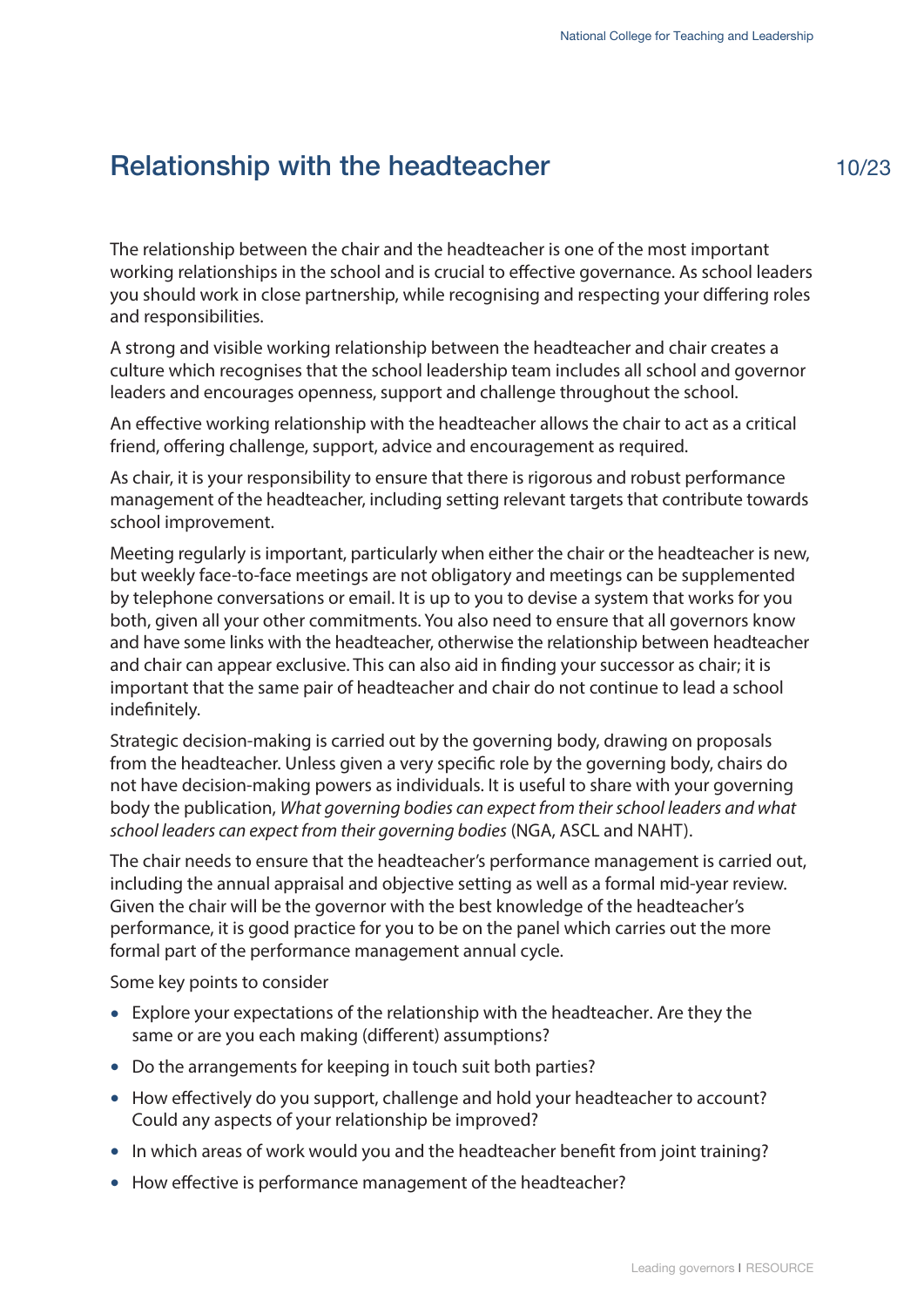# <span id="page-12-0"></span>Relationship with the headteacher

The relationship between the chair and the headteacher is one of the most important working relationships in the school and is crucial to effective governance. As school leaders you should work in close partnership, while recognising and respecting your differing roles and responsibilities.

A strong and visible working relationship between the headteacher and chair creates a culture which recognises that the school leadership team includes all school and governor leaders and encourages openness, support and challenge throughout the school.

An effective working relationship with the headteacher allows the chair to act as a critical friend, offering challenge, support, advice and encouragement as required.

As chair, it is your responsibility to ensure that there is rigorous and robust performance management of the headteacher, including setting relevant targets that contribute towards school improvement.

Meeting regularly is important, particularly when either the chair or the headteacher is new, but weekly face-to-face meetings are not obligatory and meetings can be supplemented by telephone conversations or email. It is up to you to devise a system that works for you both, given all your other commitments. You also need to ensure that all governors know and have some links with the headteacher, otherwise the relationship between headteacher and chair can appear exclusive. This can also aid in finding your successor as chair; it is important that the same pair of headteacher and chair do not continue to lead a school indefinitely.

Strategic decision-making is carried out by the governing body, drawing on proposals from the headteacher. Unless given a very specific role by the governing body, chairs do not have decision-making powers as individuals. It is useful to share with your governing body the publication, *What governing bodies can expect from their school leaders and what school leaders can expect from their governing bodies* (NGA, ASCL and NAHT).

The chair needs to ensure that the headteacher's performance management is carried out, including the annual appraisal and objective setting as well as a formal mid-year review. Given the chair will be the governor with the best knowledge of the headteacher's performance, it is good practice for you to be on the panel which carries out the more formal part of the performance management annual cycle.

Some key points to consider

- Explore your expectations of the relationship with the headteacher. Are they the same or are you each making (different) assumptions?
- Do the arrangements for keeping in touch suit both parties?
- How effectively do you support, challenge and hold your headteacher to account? Could any aspects of your relationship be improved?
- In which areas of work would you and the headteacher benefit from joint training?
- How effective is performance management of the headteacher?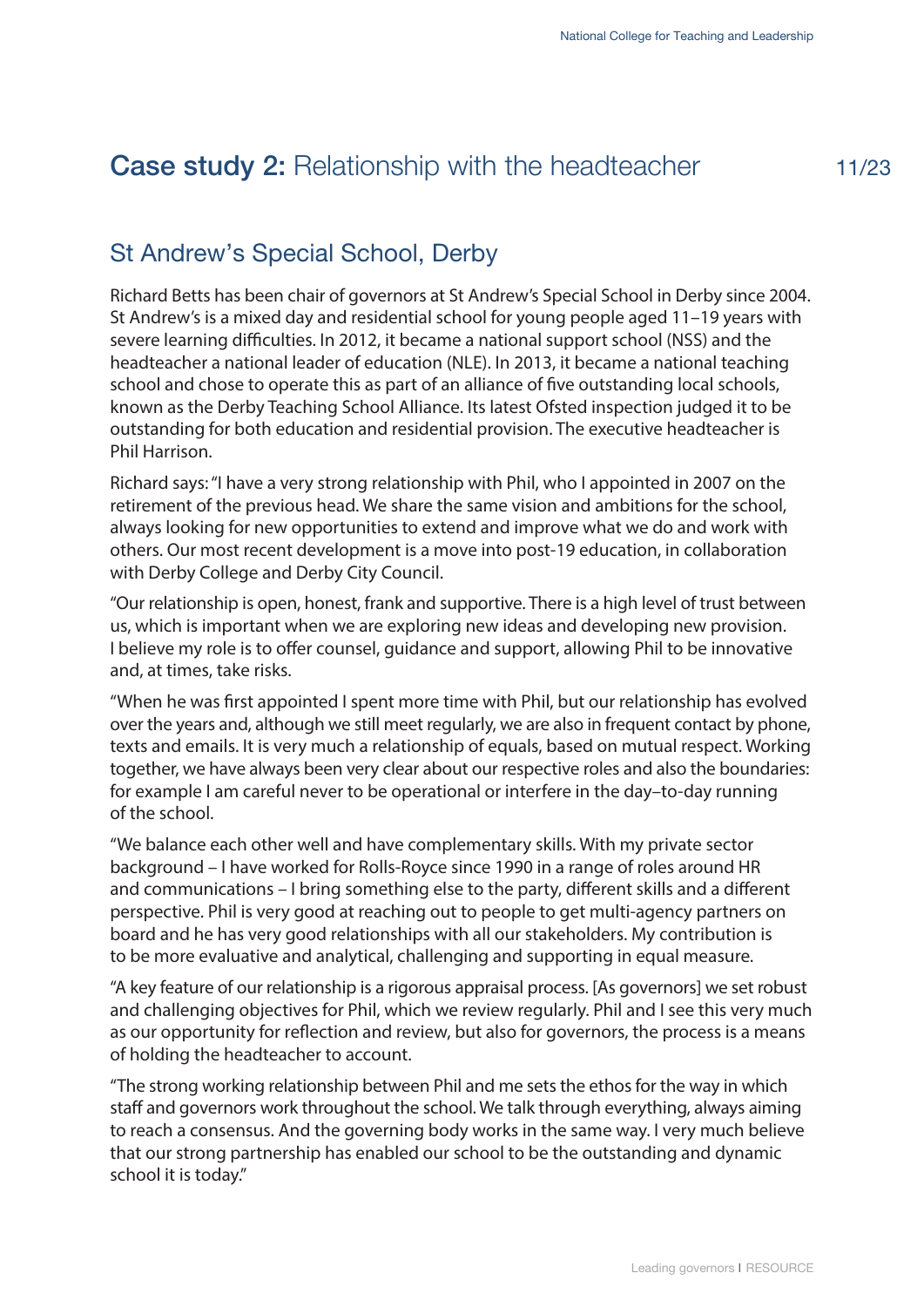# <span id="page-13-0"></span>**Case study 2: Relationship with the headteacher**

# St Andrew's Special School, Derby

Richard Betts has been chair of governors at St Andrew's Special School in Derby since 2004. St Andrew's is a mixed day and residential school for young people aged 11–19 years with severe learning difficulties. In 2012, it became a national support school (NSS) and the headteacher a national leader of education (NLE). In 2013, it became a national teaching school and chose to operate this as part of an alliance of five outstanding local schools, known as the Derby Teaching School Alliance. Its latest Ofsted inspection judged it to be outstanding for both education and residential provision. The executive headteacher is Phil Harrison.

Richard says: "I have a very strong relationship with Phil, who I appointed in 2007 on the retirement of the previous head. We share the same vision and ambitions for the school, always looking for new opportunities to extend and improve what we do and work with others. Our most recent development is a move into post-19 education, in collaboration with Derby College and Derby City Council.

"Our relationship is open, honest, frank and supportive. There is a high level of trust between us, which is important when we are exploring new ideas and developing new provision. I believe my role is to offer counsel, guidance and support, allowing Phil to be innovative and, at times, take risks.

"When he was first appointed I spent more time with Phil, but our relationship has evolved over the years and, although we still meet regularly, we are also in frequent contact by phone, texts and emails. It is very much a relationship of equals, based on mutual respect. Working together, we have always been very clear about our respective roles and also the boundaries: for example I am careful never to be operational or interfere in the day–to-day running of the school.

"We balance each other well and have complementary skills. With my private sector background – I have worked for Rolls-Royce since 1990 in a range of roles around HR and communications – I bring something else to the party, different skills and a different perspective. Phil is very good at reaching out to people to get multi-agency partners on board and he has very good relationships with all our stakeholders. My contribution is to be more evaluative and analytical, challenging and supporting in equal measure.

"A key feature of our relationship is a rigorous appraisal process. [As governors] we set robust and challenging objectives for Phil, which we review regularly. Phil and I see this very much as our opportunity for reflection and review, but also for governors, the process is a means of holding the headteacher to account.

"The strong working relationship between Phil and me sets the ethos for the way in which staff and governors work throughout the school. We talk through everything, always aiming to reach a consensus. And the governing body works in the same way. I very much believe that our strong partnership has enabled our school to be the outstanding and dynamic school it is today."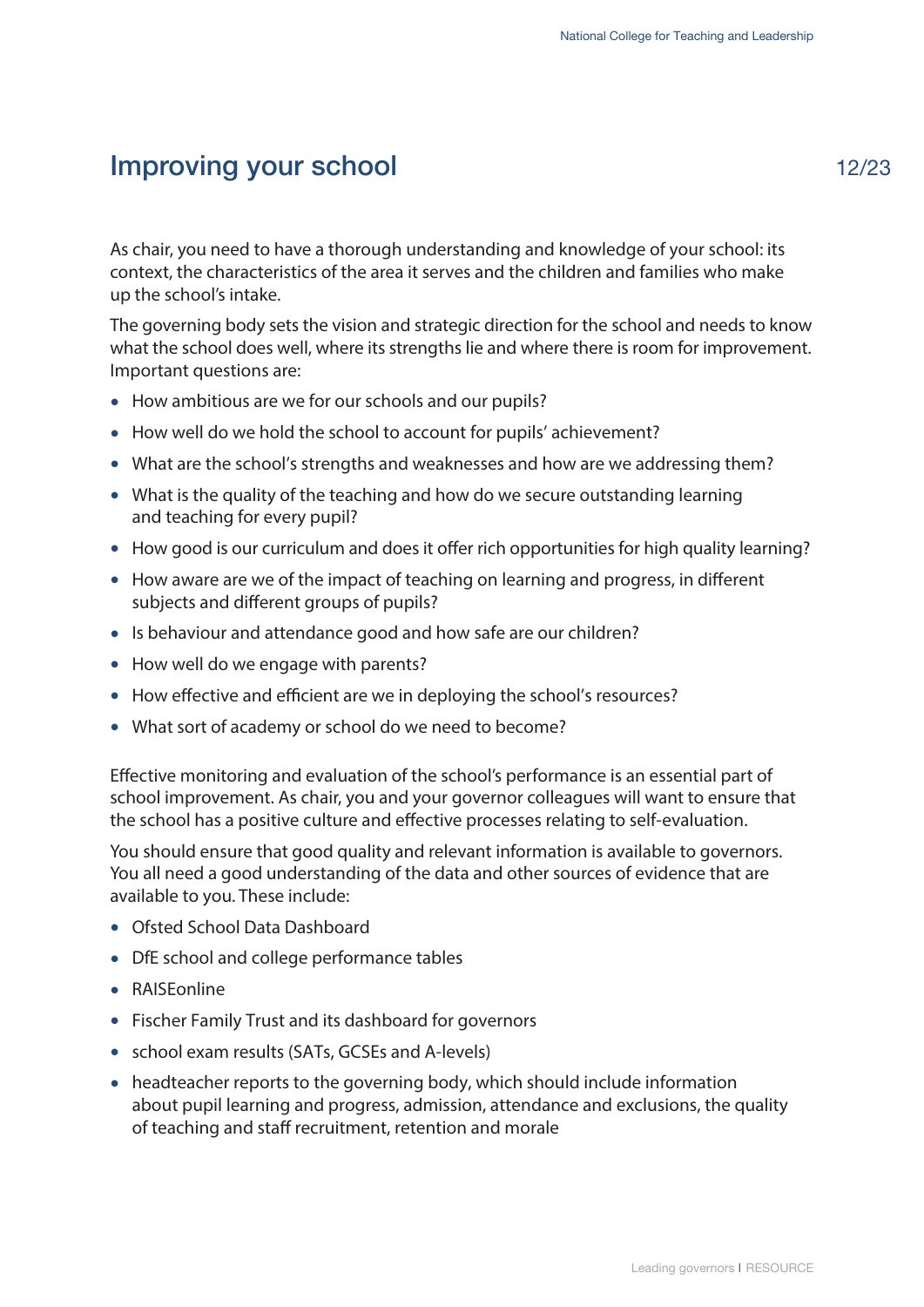# <span id="page-14-0"></span>Improving your school

12/23

As chair, you need to have a thorough understanding and knowledge of your school: its context, the characteristics of the area it serves and the children and families who make up the school's intake.

The governing body sets the vision and strategic direction for the school and needs to know what the school does well, where its strengths lie and where there is room for improvement. Important questions are:

- How ambitious are we for our schools and our pupils?
- How well do we hold the school to account for pupils' achievement?
- What are the school's strengths and weaknesses and how are we addressing them?
- What is the quality of the teaching and how do we secure outstanding learning and teaching for every pupil?
- How good is our curriculum and does it offer rich opportunities for high quality learning?
- How aware are we of the impact of teaching on learning and progress, in different subjects and different groups of pupils?
- Is behaviour and attendance good and how safe are our children?
- How well do we engage with parents?
- How effective and efficient are we in deploying the school's resources?
- What sort of academy or school do we need to become?

Effective monitoring and evaluation of the school's performance is an essential part of school improvement. As chair, you and your governor colleagues will want to ensure that the school has a positive culture and effective processes relating to self-evaluation.

You should ensure that good quality and relevant information is available to governors. You all need a good understanding of the data and other sources of evidence that are available to you. These include:

- Ofsted School Data Dashboard
- DfE school and college performance tables
- RAISEonline
- Fischer Family Trust and its dashboard for governors
- school exam results (SATs, GCSEs and A-levels)
- headteacher reports to the governing body, which should include information about pupil learning and progress, admission, attendance and exclusions, the quality of teaching and staff recruitment, retention and morale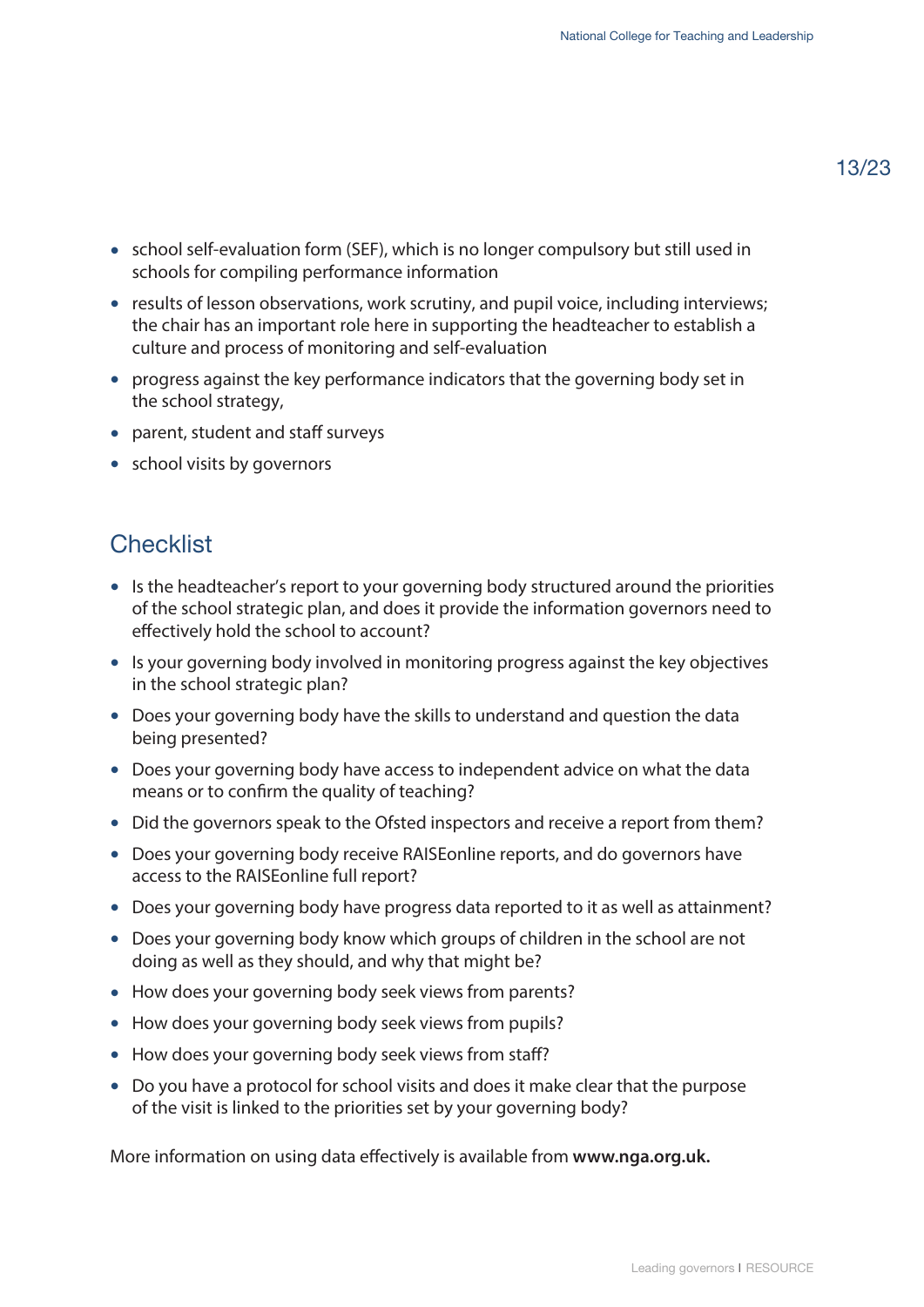- school self-evaluation form (SEF), which is no longer compulsory but still used in schools for compiling performance information
- results of lesson observations, work scrutiny, and pupil voice, including interviews; the chair has an important role here in supporting the headteacher to establish a culture and process of monitoring and self-evaluation
- progress against the key performance indicators that the governing body set in the school strategy,
- parent, student and staff surveys
- school visits by governors

#### **Checklist**

- Is the headteacher's report to your governing body structured around the priorities of the school strategic plan, and does it provide the information governors need to effectively hold the school to account?
- Is your governing body involved in monitoring progress against the key objectives in the school strategic plan?
- Does your governing body have the skills to understand and question the data being presented?
- Does your governing body have access to independent advice on what the data means or to confirm the quality of teaching?
- Did the governors speak to the Ofsted inspectors and receive a report from them?
- Does your governing body receive RAISEonline reports, and do governors have access to the RAISEonline full report?
- Does your governing body have progress data reported to it as well as attainment?
- Does your governing body know which groups of children in the school are not doing as well as they should, and why that might be?
- How does your governing body seek views from parents?
- How does your governing body seek views from pupils?
- How does your governing body seek views from staff?
- Do you have a protocol for school visits and does it make clear that the purpose of the visit is linked to the priorities set by your governing body?

More information on using data effectively is available from **[www.nga.org.uk.](www.nga.org.uk)**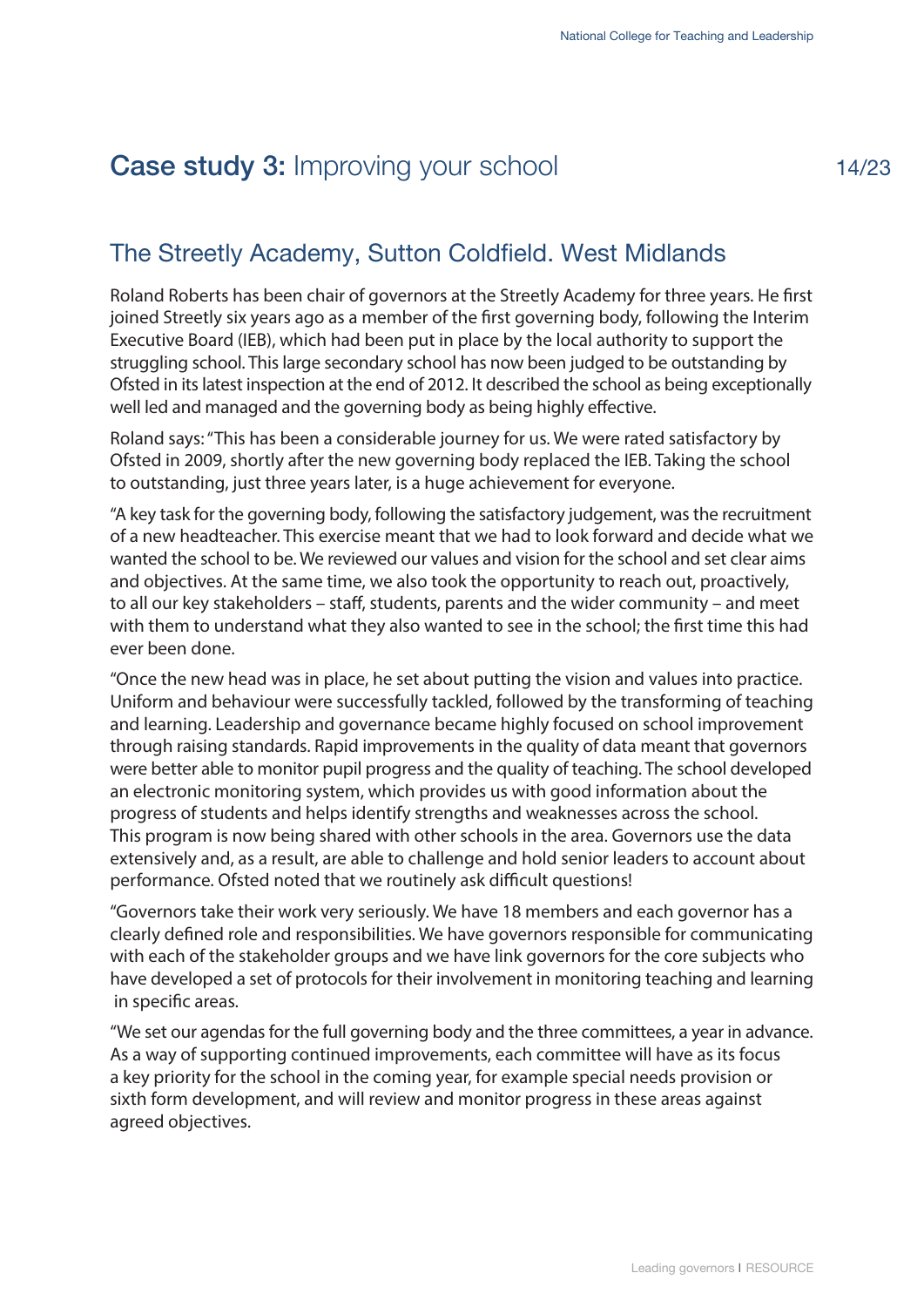# <span id="page-16-0"></span>**Case study 3: Improving your school**

#### The Streetly Academy, Sutton Coldfield. West Midlands

Roland Roberts has been chair of governors at the Streetly Academy for three years. He first joined Streetly six years ago as a member of the first governing body, following the Interim Executive Board (IEB), which had been put in place by the local authority to support the struggling school. This large secondary school has now been judged to be outstanding by Ofsted in its latest inspection at the end of 2012. It described the school as being exceptionally well led and managed and the governing body as being highly effective.

Roland says: "This has been a considerable journey for us. We were rated satisfactory by Ofsted in 2009, shortly after the new governing body replaced the IEB. Taking the school to outstanding, just three years later, is a huge achievement for everyone.

"A key task for the governing body, following the satisfactory judgement, was the recruitment of a new headteacher. This exercise meant that we had to look forward and decide what we wanted the school to be. We reviewed our values and vision for the school and set clear aims and objectives. At the same time, we also took the opportunity to reach out, proactively, to all our key stakeholders – staff, students, parents and the wider community – and meet with them to understand what they also wanted to see in the school; the first time this had ever been done.

"Once the new head was in place, he set about putting the vision and values into practice. Uniform and behaviour were successfully tackled, followed by the transforming of teaching and learning. Leadership and governance became highly focused on school improvement through raising standards. Rapid improvements in the quality of data meant that governors were better able to monitor pupil progress and the quality of teaching. The school developed an electronic monitoring system, which provides us with good information about the progress of students and helps identify strengths and weaknesses across the school. This program is now being shared with other schools in the area. Governors use the data extensively and, as a result, are able to challenge and hold senior leaders to account about performance. Ofsted noted that we routinely ask difficult questions!

"Governors take their work very seriously. We have 18 members and each governor has a clearly defined role and responsibilities. We have governors responsible for communicating with each of the stakeholder groups and we have link governors for the core subjects who have developed a set of protocols for their involvement in monitoring teaching and learning in specific areas.

"We set our agendas for the full governing body and the three committees, a year in advance. As a way of supporting continued improvements, each committee will have as its focus a key priority for the school in the coming year, for example special needs provision or sixth form development, and will review and monitor progress in these areas against agreed objectives.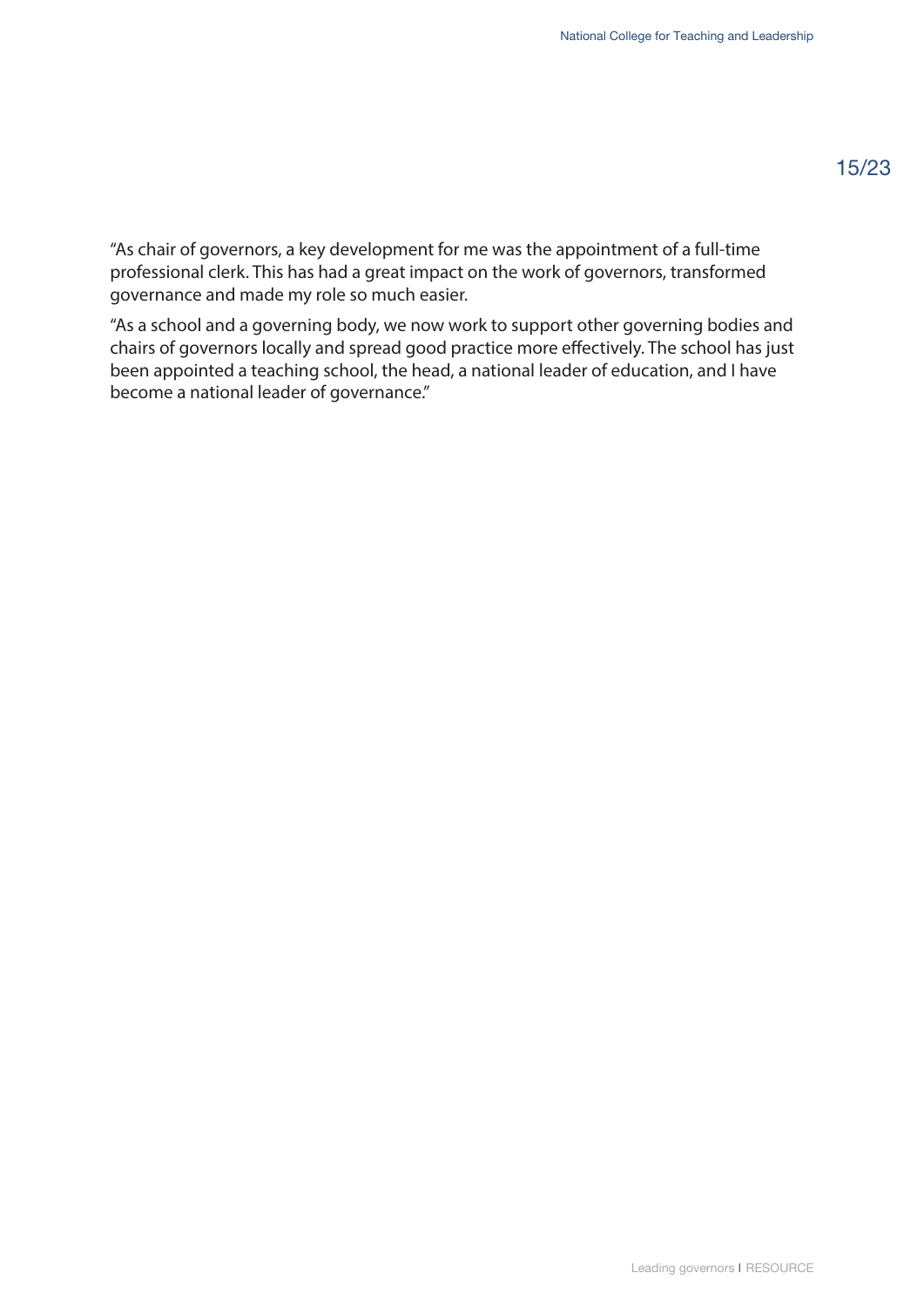"As chair of governors, a key development for me was the appointment of a full-time professional clerk. This has had a great impact on the work of governors, transformed governance and made my role so much easier.

"As a school and a governing body, we now work to support other governing bodies and chairs of governors locally and spread good practice more effectively. The school has just been appointed a teaching school, the head, a national leader of education, and I have become a national leader of governance."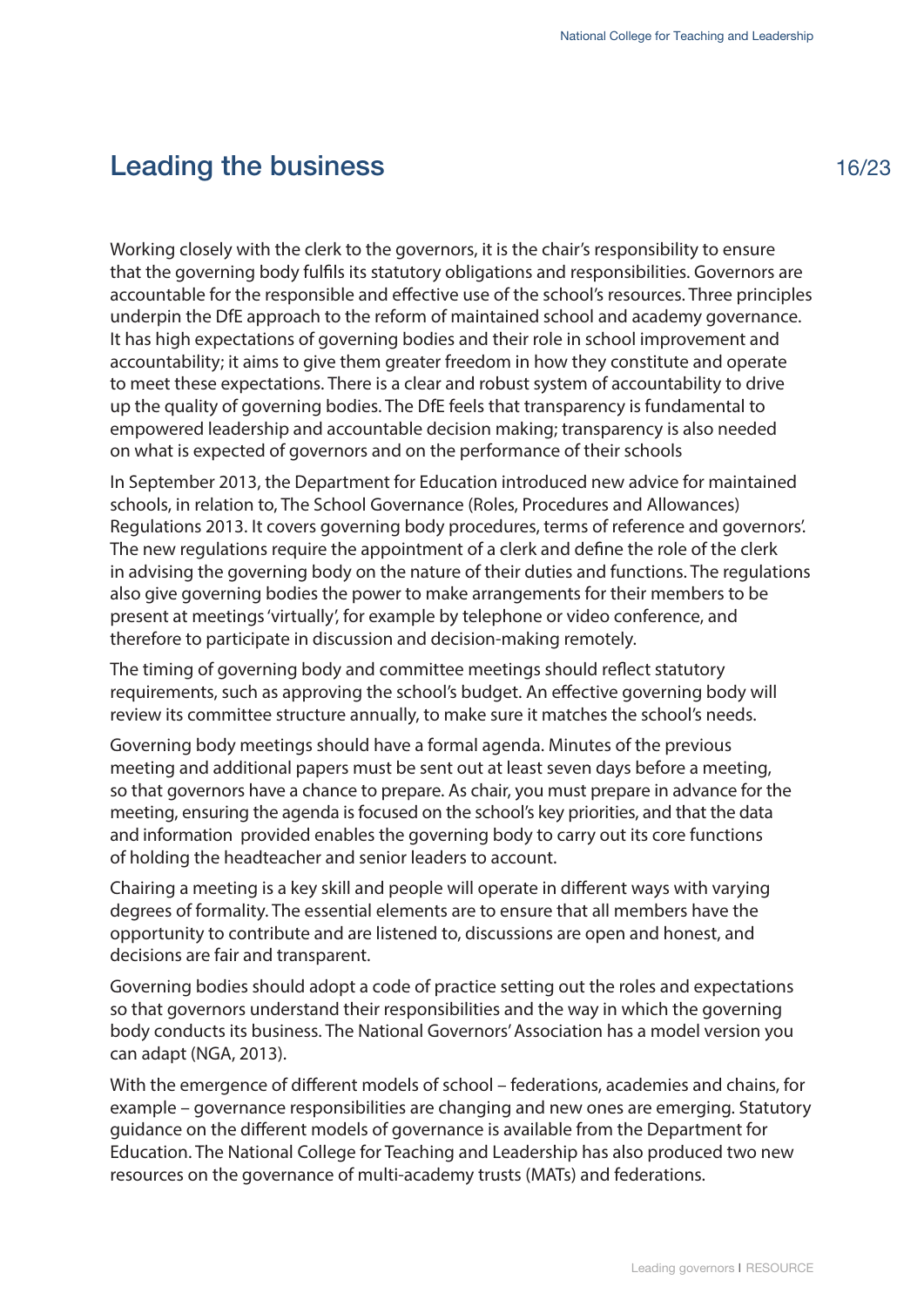#### <span id="page-18-0"></span>Leading the business

Working closely with the clerk to the governors, it is the chair's responsibility to ensure that the governing body fulfils its statutory obligations and responsibilities. Governors are accountable for the responsible and effective use of the school's resources. Three principles underpin the DfE approach to the reform of maintained school and academy governance. It has high expectations of governing bodies and their role in school improvement and accountability; it aims to give them greater freedom in how they constitute and operate to meet these expectations. There is a clear and robust system of accountability to drive up the quality of governing bodies. The DfE feels that transparency is fundamental to empowered leadership and accountable decision making; transparency is also needed on what is expected of governors and on the performance of their schools

In September 2013, the Department for Education introduced new advice for maintained schools, in relation to, The School Governance (Roles, Procedures and Allowances) Regulations 2013. It covers governing body procedures, terms of reference and governors'. The new regulations require the appointment of a clerk and define the role of the clerk in advising the governing body on the nature of their duties and functions. The regulations also give governing bodies the power to make arrangements for their members to be present at meetings 'virtually', for example by telephone or video conference, and therefore to participate in discussion and decision-making remotely.

The timing of governing body and committee meetings should reflect statutory requirements, such as approving the school's budget. An effective governing body will review its committee structure annually, to make sure it matches the school's needs.

Governing body meetings should have a formal agenda. Minutes of the previous meeting and additional papers must be sent out at least seven days before a meeting, so that governors have a chance to prepare. As chair, you must prepare in advance for the meeting, ensuring the agenda is focused on the school's key priorities, and that the data and information provided enables the governing body to carry out its core functions of holding the headteacher and senior leaders to account.

Chairing a meeting is a key skill and people will operate in different ways with varying degrees of formality. The essential elements are to ensure that all members have the opportunity to contribute and are listened to, discussions are open and honest, and decisions are fair and transparent.

Governing bodies should adopt a code of practice setting out the roles and expectations so that governors understand their responsibilities and the way in which the governing body conducts its business. The National Governors' Association has a model version you can adapt (NGA, 2013).

With the emergence of different models of school – federations, academies and chains, for example – governance responsibilities are changing and new ones are emerging. Statutory guidance on the different models of governance is available from the Department for Education. The National College for Teaching and Leadership has also produced two new resources on the governance of multi-academy trusts (MATs) and federations.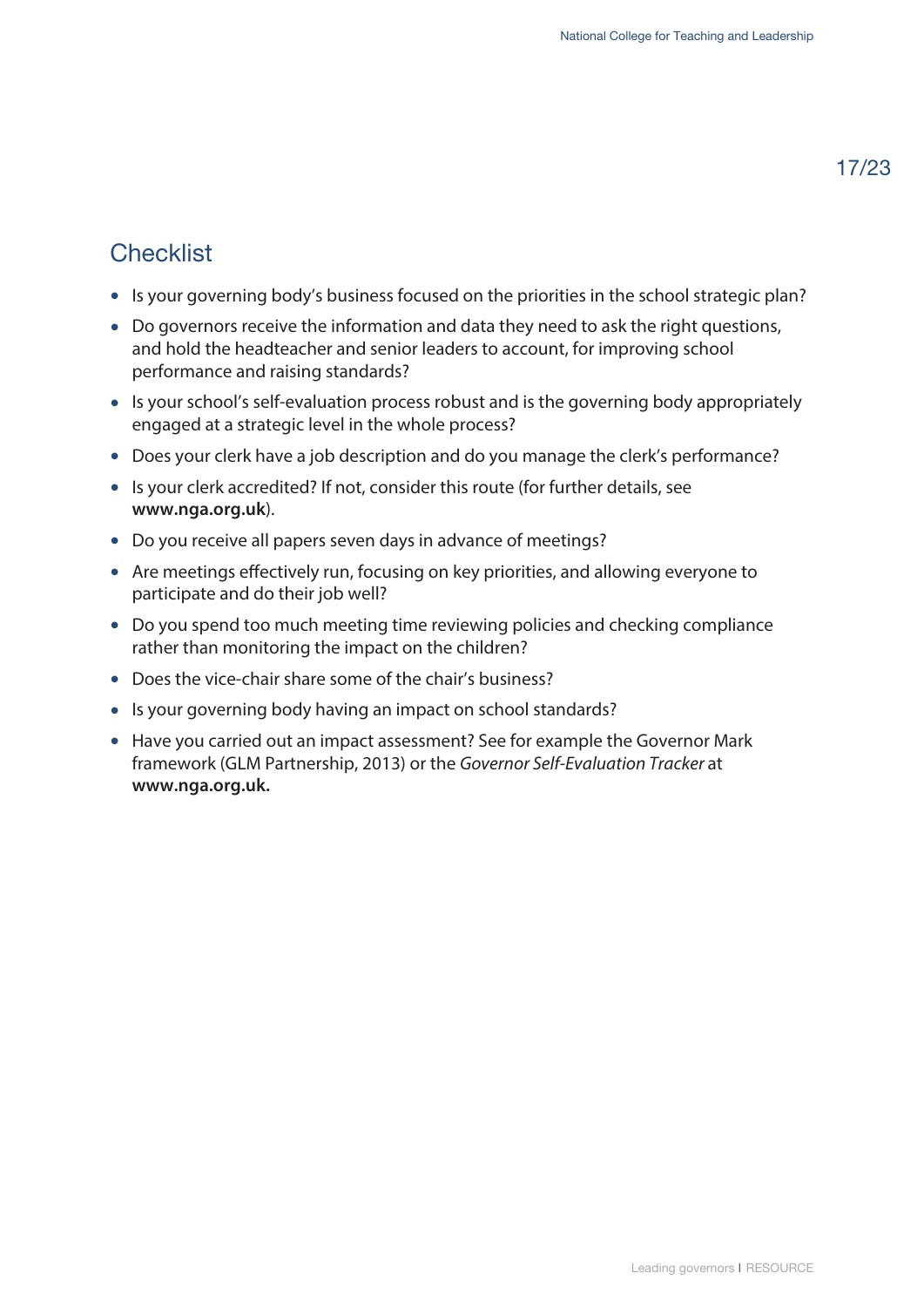# **Checklist**

- Is your governing body's business focused on the priorities in the school strategic plan?
- Do governors receive the information and data they need to ask the right questions, and hold the headteacher and senior leaders to account, for improving school performance and raising standards?
- Is your school's self-evaluation process robust and is the governing body appropriately engaged at a strategic level in the whole process?
- Does your clerk have a job description and do you manage the clerk's performance?
- Is your clerk accredited? If not, consider this route (for further details, see **<www.nga.org.uk>**).
- Do you receive all papers seven days in advance of meetings?
- Are meetings effectively run, focusing on key priorities, and allowing everyone to participate and do their job well?
- Do you spend too much meeting time reviewing policies and checking compliance rather than monitoring the impact on the children?
- Does the vice-chair share some of the chair's business?
- Is your governing body having an impact on school standards?
- Have you carried out an impact assessment? See for example the Governor Mark framework (GLM Partnership, 2013) or the *Governor Self-Evaluation Tracker* at **[www.nga.org.uk.](www.nga.org.uk)**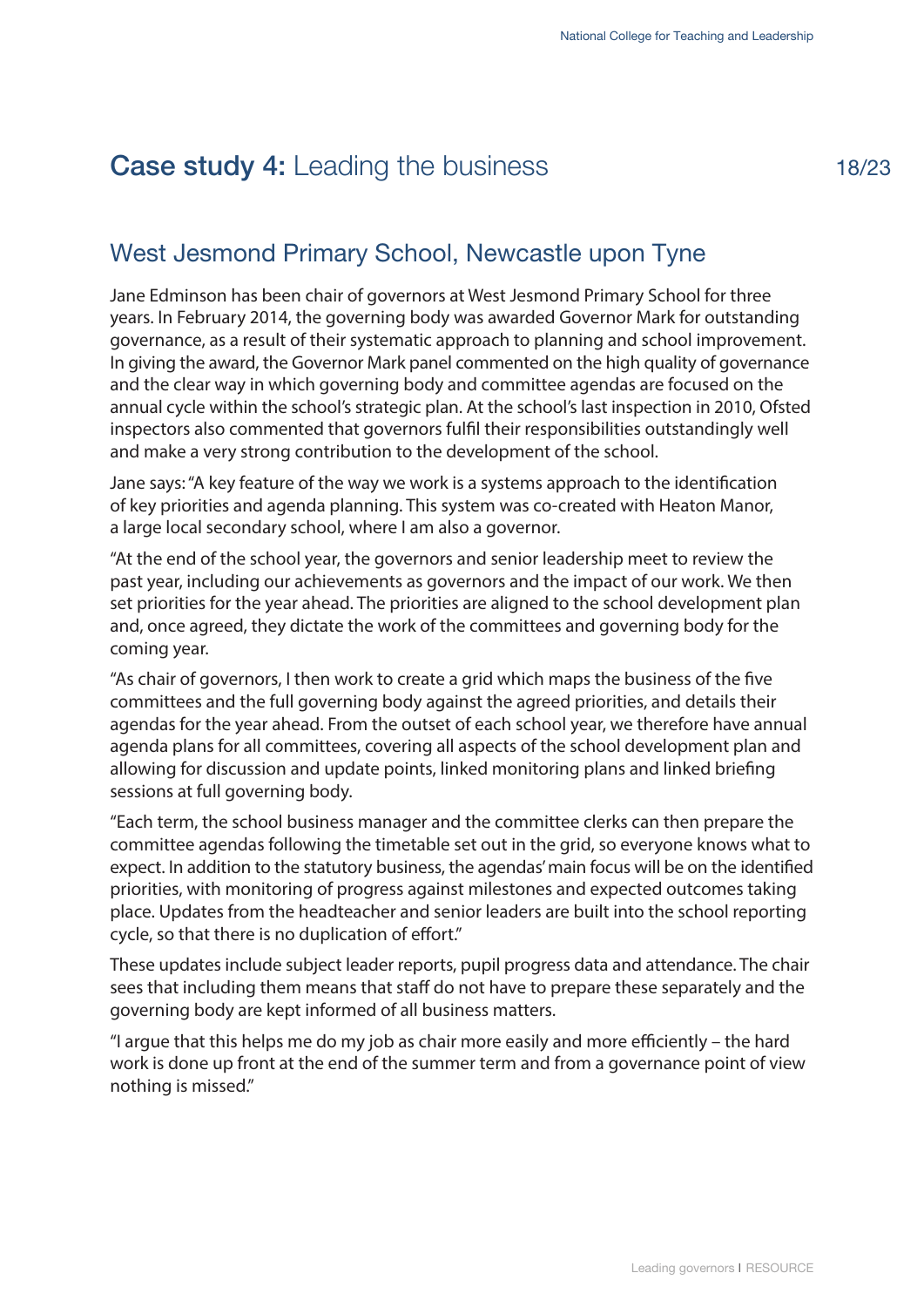# <span id="page-20-0"></span>**Case study 4:** Leading the business

# West Jesmond Primary School, Newcastle upon Tyne

Jane Edminson has been chair of governors at West Jesmond Primary School for three years. In February 2014, the governing body was awarded Governor Mark for outstanding governance, as a result of their systematic approach to planning and school improvement. In giving the award, the Governor Mark panel commented on the high quality of governance and the clear way in which governing body and committee agendas are focused on the annual cycle within the school's strategic plan. At the school's last inspection in 2010, Ofsted inspectors also commented that governors fulfil their responsibilities outstandingly well and make a very strong contribution to the development of the school.

Jane says: "A key feature of the way we work is a systems approach to the identification of key priorities and agenda planning. This system was co-created with Heaton Manor, a large local secondary school, where I am also a governor.

"At the end of the school year, the governors and senior leadership meet to review the past year, including our achievements as governors and the impact of our work. We then set priorities for the year ahead. The priorities are aligned to the school development plan and, once agreed, they dictate the work of the committees and governing body for the coming year.

"As chair of governors, I then work to create a grid which maps the business of the five committees and the full governing body against the agreed priorities, and details their agendas for the year ahead. From the outset of each school year, we therefore have annual agenda plans for all committees, covering all aspects of the school development plan and allowing for discussion and update points, linked monitoring plans and linked briefing sessions at full governing body.

"Each term, the school business manager and the committee clerks can then prepare the committee agendas following the timetable set out in the grid, so everyone knows what to expect. In addition to the statutory business, the agendas' main focus will be on the identified priorities, with monitoring of progress against milestones and expected outcomes taking place. Updates from the headteacher and senior leaders are built into the school reporting cycle, so that there is no duplication of effort."

These updates include subject leader reports, pupil progress data and attendance. The chair sees that including them means that staff do not have to prepare these separately and the governing body are kept informed of all business matters.

"I argue that this helps me do my job as chair more easily and more efficiently – the hard work is done up front at the end of the summer term and from a governance point of view nothing is missed."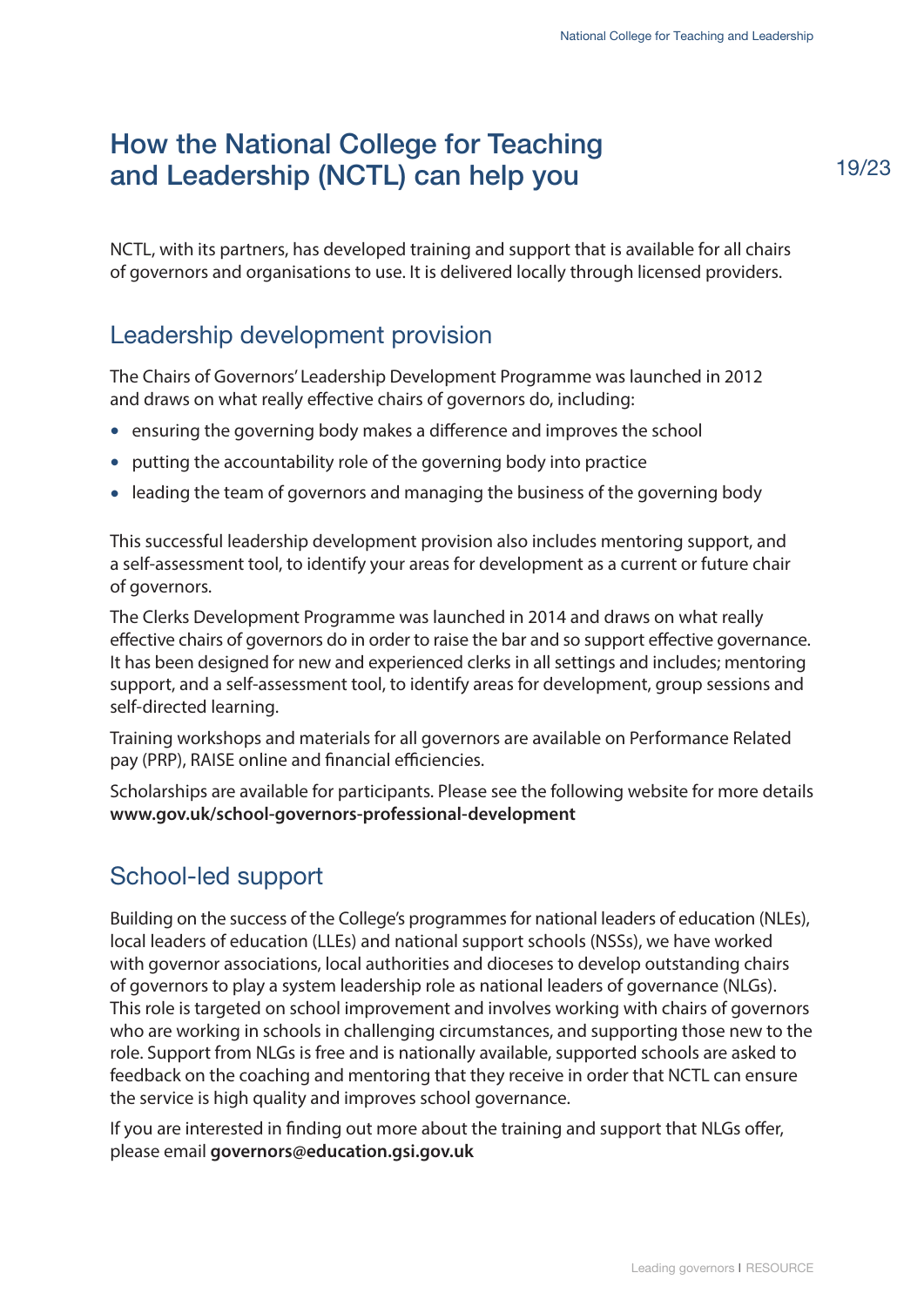# <span id="page-21-0"></span>How the National College for Teaching and Leadership (NCTL) can help you

NCTL, with its partners, has developed training and support that is available for all chairs of governors and organisations to use. It is delivered locally through licensed providers.

#### Leadership development provision

The Chairs of Governors' Leadership Development Programme was launched in 2012 and draws on what really effective chairs of governors do, including:

- ensuring the governing body makes a difference and improves the school
- putting the accountability role of the governing body into practice
- leading the team of governors and managing the business of the governing body

This successful leadership development provision also includes mentoring support, and a self-assessment tool, to identify your areas for development as a current or future chair of governors.

The Clerks Development Programme was launched in 2014 and draws on what really effective chairs of governors do in order to raise the bar and so support effective governance. It has been designed for new and experienced clerks in all settings and includes; mentoring support, and a self-assessment tool, to identify areas for development, group sessions and self-directed learning.

Training workshops and materials for all governors are available on Performance Related pay (PRP), RAISE online and financial efficiencies.

[Scholarships are available for participants. Please see the following website for more de](www.gov.uk/school-governors-professional-development)tails **www.gov.uk/school-governors-professional-development**

#### School-led support

Building on the success of the College's programmes for national leaders of education (NLEs), local leaders of education (LLEs) and national support schools (NSSs), we have worked with governor associations, local authorities and dioceses to develop outstanding chairs of governors to play a system leadership role as national leaders of governance (NLGs). This role is targeted on school improvement and involves working with chairs of governors who are working in schools in challenging circumstances, and supporting those new to the role. Support from NLGs is free and is nationally available, supported schools are asked to feedback on the coaching and mentoring that they receive in order that NCTL can ensure the service is high quality and improves school governance.

If you are interested in finding out more about the training and support that NLGs offer, please email **governors@education.gsi.gov.uk**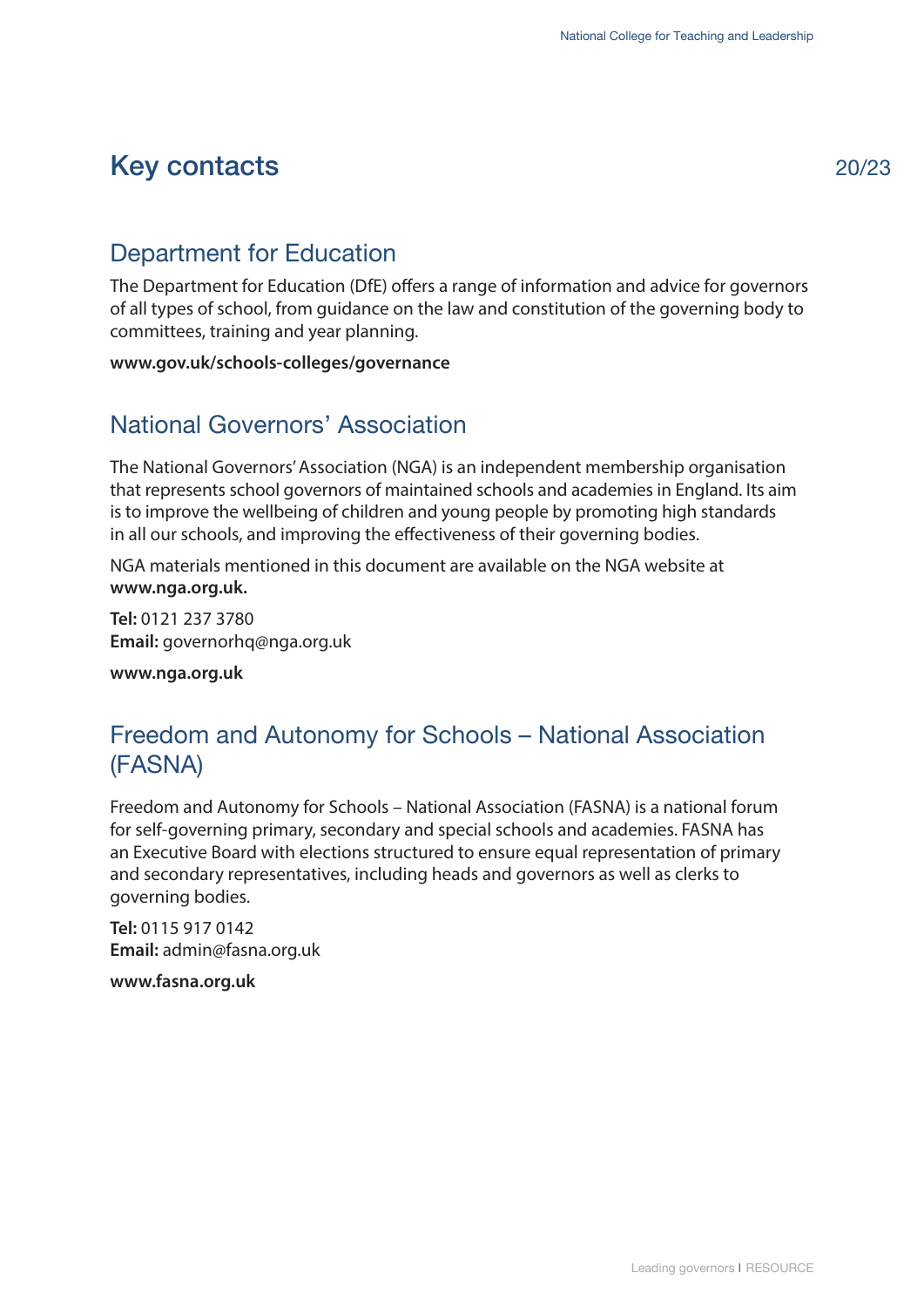# <span id="page-22-0"></span>Key contacts

# Department for Education

The Department for Education (DfE) offers a range of information and advice for governors of all types of school, from guidance on the law and constitution of the governing body to committees, training and year planning.

**<www.gov.uk/schools-colleges/governance>**

#### National Governors' Association

The National Governors' Association (NGA) is an independent membership organisation that represents school governors of maintained schools and academies in England. Its aim is to improve the wellbeing of children and young people by promoting high standards in all our schools, and improving the effectiveness of their governing bodies.

[NGA materials mentione](www.nga.org.uk)d in this document are available on the NGA website at **www.nga.org.uk.** 

**Tel:** 0121 237 3780 **Email:** governorhq@nga.org.uk

**<www.nga.org.uk>**

#### Freedom and Autonomy for Schools – National Association (FASNA)

Freedom and Autonomy for Schools – National Association (FASNA) is a national forum for self-governing primary, secondary and special schools and academies. FASNA has an Executive Board with elections structured to ensure equal representation of primary and secondary representatives, including heads and governors as well as clerks to governing bodies.

**Tel:** 0115 917 0142 **Email:** admin@fasna.org.uk

**<www.fasna.org.uk>**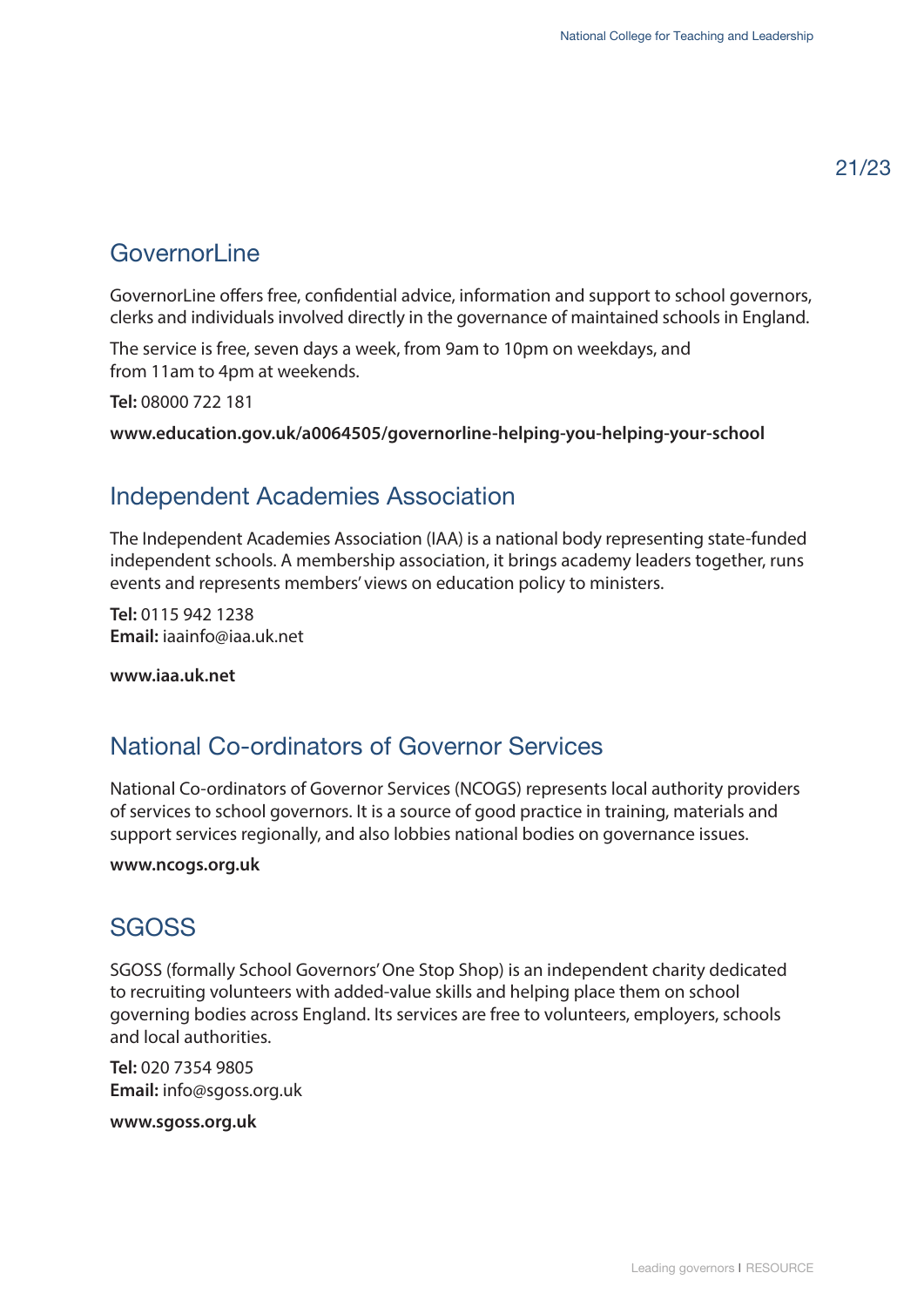# Governorl ine

GovernorLine offers free, confidential advice, information and support to school governors, clerks and individuals involved directly in the governance of maintained schools in England.

The service is free, seven days a week, from 9am to 10pm on weekdays, and from 11am to 4pm at weekends.

**Tel:** 08000 722 181

**<www.education.gov.uk/a0064505/governorline-helping-you-helping-your-school>**

#### Independent Academies Association

The Independent Academies Association (IAA) is a national body representing state-funded independent schools. A membership association, it brings academy leaders together, runs events and represents members' views on education policy to ministers.

**Tel:** 0115 942 1238 **Email:** iaainfo@iaa.uk.net

**<www.iaa.uk.net>**

#### National Co-ordinators of Governor Services

National Co-ordinators of Governor Services (NCOGS) represents local authority providers of services to school governors. It is a source of good practice in training, materials and support services regionally, and also lobbies national bodies on governance issues.

#### **<www.ncogs.org.uk>**

#### **SGOSS**

SGOSS (formally School Governors' One Stop Shop) is an independent charity dedicated to recruiting volunteers with added-value skills and helping place them on school governing bodies across England. Its services are free to volunteers, employers, schools and local authorities.

**Tel:** 020 7354 9805 **Email:** info@sgoss.org.uk

**<www.sgoss.org.uk>**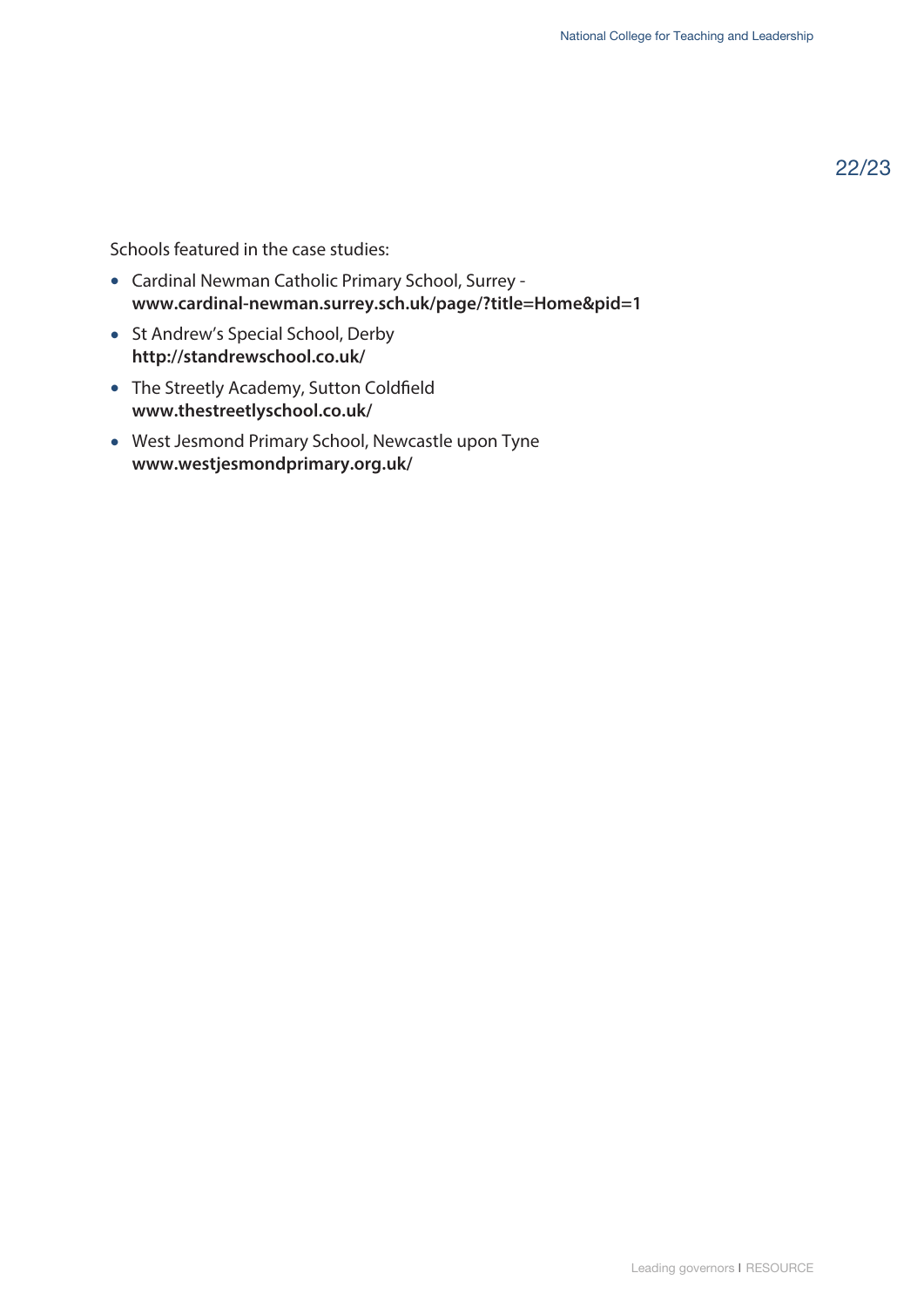22/23

Schools featured in the case studies:

- Cardinal Newman Catholic Primary School, Surrey **<www.cardinal-newman.surrey.sch.uk/page/?title=Home&pid=1>**
- St Andrew's Special School, Derby **<http://standrewschool.co.uk/>**
- [The Streetly Academy, Sutton Coldfield](www.thestreetlyschool.co.uk/)  **www.thestreetlyschool.co.uk/**
- [West Jesmond Primary School, Newcastle upon Tyne](www.westjesmondprimary.org.uk/) **www.westjesmondprimary.org.uk/**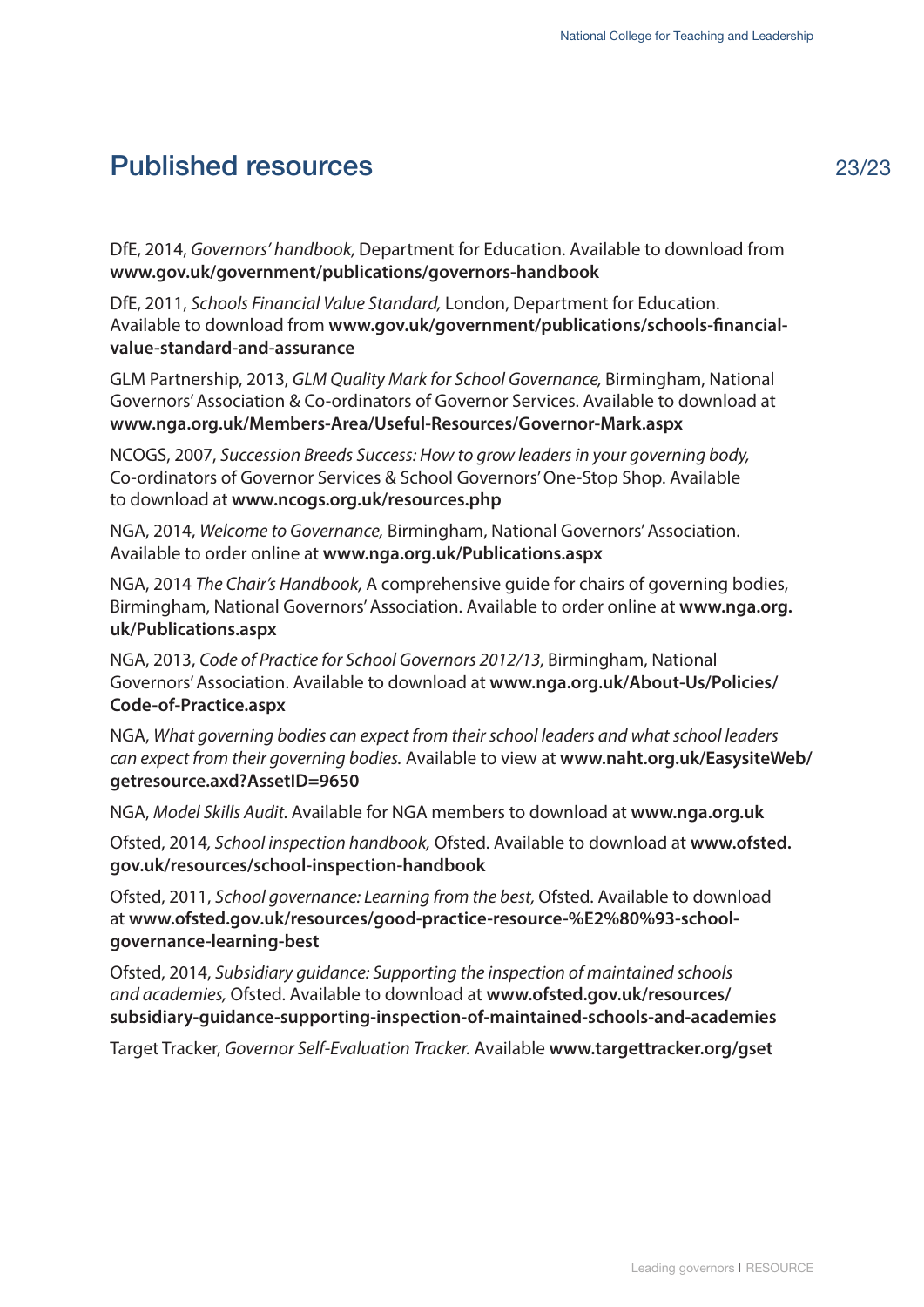# <span id="page-25-0"></span>Published resources 23/23

DfE, 2014, *Governors' handbook,* Department for Education. Available to download from **<www.gov.uk/government/publications/governors-handbook>**

DfE, 2011, *Schools Financial Value Standard,* London, Department for Education. Available to download from **[www.gov.uk/government/publications/schools-financial](www.gov.uk/government/publications/schools-financial-value-standard-and-assurance)value-standard-and-assurance** 

GLM Partnership, 2013, *GLM Quality Mark for School Governance,* Birmingham, National [Governors' Association & Co-ordinators of Governor Services. Available to download at](www.nga.org.uk/Members-Area/Useful-Resources/Governor-Mark.aspx)  **www.nga.org.uk/Members-Area/Useful-Resources/Governor-Mark.aspx** 

NCOGS, 2007, *Succession Breeds Success: How to grow leaders in your governing body,* [Co-ordinators of Governor Services & School Governors' One-Stop Shop. Available](www.ncogs.org.uk/resources.php)  to download at **www.ncogs.org.uk/resources.php**

NGA, 2014, *Welcome to Governance,* [Birmingham, National Governors' Association.](www.nga.org.uk/Publications.aspx)  Available to order online at **www.nga.org.uk/Publications.aspx** 

NGA, 2014 *The Chair's Handbook,* A comprehensive guide for chairs of governing bodies, [Birmingham, National Governors' Association. Available to order online at](www.nga.org.uk/Publications.aspx) **www.nga.org. uk/Publications.aspx** 

NGA, 2013, *Code of Practice for School Governors 2012/13,* Birmingham, National [Governors' Association. Available to download at](www.nga.org.uk/About-Us/Policies/Code-of-Practice.aspx) **www.nga.org.uk/About-Us/Policies/ Code-of-Practice.aspx** 

NGA, *[What governing bodies can expect from their school leaders and what school leaders](www.naht.org.uk/EasysiteWeb/getresource.axd?AssetID=9650)  can expect from their governing bodies.* Available to view at **www.naht.org.uk/EasysiteWeb/ getresource.axd?AssetID=9650** 

NGA, *Model Skills Audit.* Available for NGA members to download at **<www.nga.org.uk>**

Ofsted, 2014*, School inspection handbook,* Ofsted. Available to download at **www.ofsted. [gov.uk/resources/school-inspection-handbook](www.ofsted.gov.uk/resources/school-inspection-handbook)**

Ofsted, 2011, *School governance: Learning from the best,* Ofsted. Available to download at **[www.ofsted.gov.uk/resources/good-practice-resource-%E2%80%93-school](www.ofsted.gov.uk/resources/good-practice-resource-%E2%80%93-school-governance-learning-best)governance-learning-best**

Ofsted, 2014, *Subsidiary guidance: Supporting the inspection of maintained schools and academies,* Ofsted. Available to download at **www.ofsted.gov.uk/resources/ [subsidiary-guidance-supporting-inspection-of-maintained-schools-and-academies](www.ofsted.gov.uk/resources/subsidiary-guidance-supporting-inspection-of-maintained-schools-and-academies)** 

Target Tracker, *Governor Self-Evaluation Tracker.* Available **<www.targettracker.org/gset>**